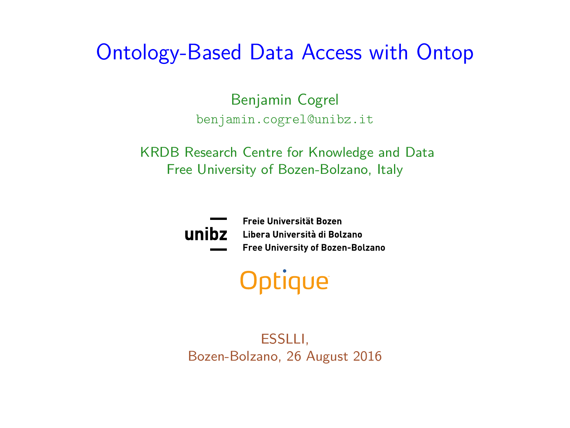# <span id="page-0-0"></span>Ontology-Based Data Access with Ontop

Benjamin Cogrel benjamin.cogrel@unibz.it

KRDB Research Centre for Knowledge and Data Free University of Bozen-Bolzano, Italy



Freie Universität Bozen Libera Università di Bolzano **Free University of Bozen-Bolzano**

# Optique

ESSLLI, Bozen-Bolzano, 26 August 2016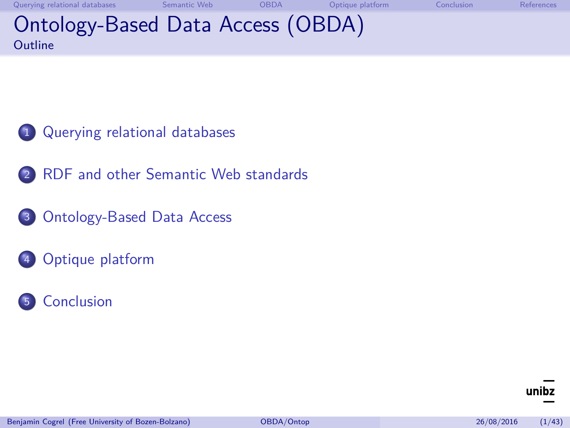[Querying relational databases](#page-2-0) [Semantic Web](#page-23-0) [OBDA](#page-43-0) [Optique platform](#page-63-0) [Conclusion](#page-66-0) [References](#page-70-0) Ontology-Based Data Access (OBDA) **Outline** 

- <sup>1</sup> [Querying relational databases](#page-2-0)
- 2 [RDF and other Semantic Web standards](#page-23-0)
- <sup>3</sup> [Ontology-Based Data Access](#page-43-0)
- <sup>4</sup> [Optique platform](#page-63-0)
- <sup>5</sup> [Conclusion](#page-66-0)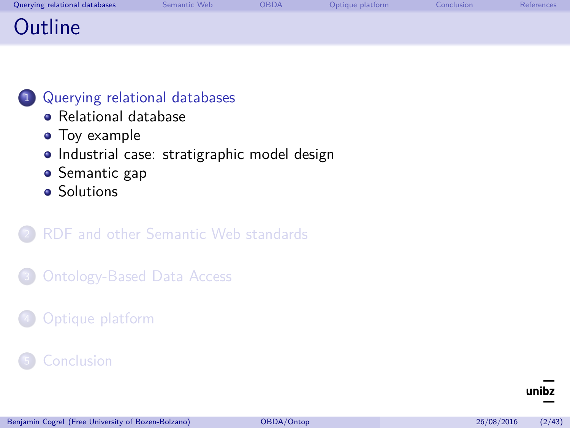<span id="page-2-0"></span>

| Querying relational databases | Semantic Web | <b>OBDA</b> | Optique platform | Conclusion | References |
|-------------------------------|--------------|-------------|------------------|------------|------------|
| Outline                       |              |             |                  |            |            |

### <sup>1</sup> [Querying relational databases](#page-2-0)

- **[Relational database](#page-3-0)**
- [Toy example](#page-6-0)
- [Industrial case: stratigraphic model design](#page-14-0)
- [Semantic gap](#page-18-0)
- **•** [Solutions](#page-19-0)

### <sup>2</sup> [RDF and other Semantic Web standards](#page-23-0)

- **[Ontology-Based Data Access](#page-43-0)**
- [Optique platform](#page-63-0)

### **[Conclusion](#page-66-0)**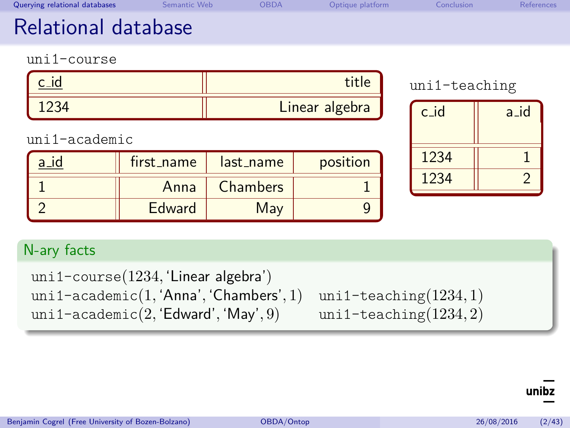<span id="page-3-0"></span>

| Querying relational databases                                                                                                                                                         | Semantic Web | OBDA      | Optique platform | Conclusion | References     |  |
|---------------------------------------------------------------------------------------------------------------------------------------------------------------------------------------|--------------|-----------|------------------|------------|----------------|--|
| Relational database                                                                                                                                                                   |              |           |                  |            |                |  |
| $unif-conrse$                                                                                                                                                                         |              |           |                  |            |                |  |
| $c_id$                                                                                                                                                                                |              |           | title            |            | uni1-teaching  |  |
| 1234                                                                                                                                                                                  |              |           | Linear algebra   | c id       | $a_id$         |  |
| uni1-academic                                                                                                                                                                         |              |           |                  |            |                |  |
| $a_id$                                                                                                                                                                                | first_name   | last name | position         | 1234       | $\mathbf{1}$   |  |
| $\overline{1}$                                                                                                                                                                        | Anna         | Chambers  | $\overline{1}$   | 1234       | $\overline{2}$ |  |
| $\overline{2}$                                                                                                                                                                        | Edward       | May       | 9                |            |                |  |
| N-ary facts                                                                                                                                                                           |              |           |                  |            |                |  |
| uni1-course(1234, 'Linear algebra')<br>uni1-academic $(1, 'Anna', 'Chambers', 1)$<br>uni1-teaching $(1234,1)$<br>uni1-academic $(2, 'Edward', 'May', 9)$<br>uni1-teaching $(1234, 2)$ |              |           |                  |            |                |  |

 $\frac{1}{2}$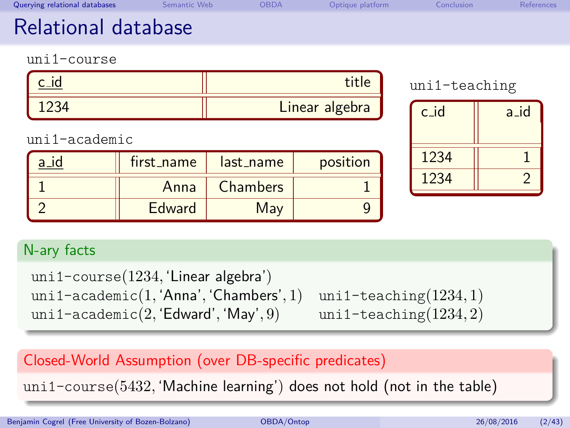| Querying relational databases                                                                                                                                                         | Semantic Web  | OBDA      | Optique platform | Conclusion    | <b>References</b> |  |
|---------------------------------------------------------------------------------------------------------------------------------------------------------------------------------------|---------------|-----------|------------------|---------------|-------------------|--|
| Relational database                                                                                                                                                                   |               |           |                  |               |                   |  |
| uni1-course                                                                                                                                                                           |               |           |                  |               |                   |  |
| c_id                                                                                                                                                                                  |               |           | title            | uni1-teaching |                   |  |
| 1234                                                                                                                                                                                  |               |           | Linear algebra   | $c_id$        | $a_id$            |  |
| uni1-academic                                                                                                                                                                         |               |           |                  |               |                   |  |
| $a_id$                                                                                                                                                                                | first_name    | last_name | position         | 1234          | $\overline{1}$    |  |
| $\overline{1}$                                                                                                                                                                        | Anna          | Chambers  | 1                | 1234          | $\overline{2}$    |  |
| $\overline{2}$                                                                                                                                                                        | <b>Edward</b> | May       | 9                |               |                   |  |
| N-ary facts                                                                                                                                                                           |               |           |                  |               |                   |  |
| uni1-course(1234, 'Linear algebra')<br>uni1-academic $(1, 'Anna', 'Chambers', 1)$<br>uni1-teaching $(1234,1)$<br>uni1-academic $(2, 'Edward', 'May', 9)$<br>uni1-teaching $(1234, 2)$ |               |           |                  |               |                   |  |
| Closed-World Assumption (over DB-specific predicates)                                                                                                                                 |               |           |                  |               |                   |  |

uni1-course(5432*,* 'Machine learning') does not hold (not in the table)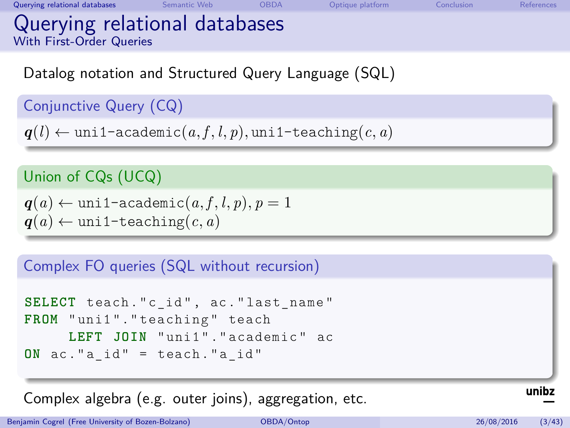[Querying relational databases](#page-2-0) [Semantic Web](#page-23-0) [OBDA](#page-43-0) [Optique platform](#page-63-0) [Conclusion](#page-66-0) [References](#page-70-0) Querying relational databases With First-Order Queries

Datalog notation and Structured Query Language (SQL)

### Conjunctive Query (CQ)

 $q(l) \leftarrow \text{unif-accademic}(a, f, l, p), \text{unif-teaching}(c, a)$ 

### Union of CQs (UCQ)

 $q(a) \leftarrow \text{uni1-academic}(a, f, l, p), p = 1$  $q(a) \leftarrow \text{uniform}(c, a)$ 

#### Complex FO queries (SQL without recursion)

```
SELECT teach."c_id", ac."last name"
FROM "uni1". "teaching" teach
     LEFT JOIN " uni1 " . " academic " ac
ON ac."a id" = teach."a id"
```
Complex algebra (e.g. outer joins), aggregation, etc.

Benjamin Cogrel (Free University of Bozen-Bolzano) **[OBDA/Ontop](#page-0-0)** 26/08/2016 (3/43)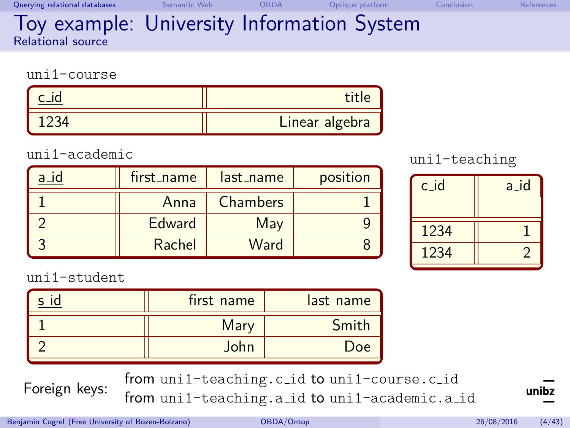<span id="page-6-0"></span>

| Querying relational databases<br>Semantic Web |  | Optique platform | Conclusion | References |
|-----------------------------------------------|--|------------------|------------|------------|
|-----------------------------------------------|--|------------------|------------|------------|

#### Toy example: University Information System Relational source

uni1-course

| Linear algebra |
|----------------|

#### uni1-academic

| first_name | last_name       | position |
|------------|-----------------|----------|
| Anna       | <b>Chambers</b> |          |
| Edward     | May             |          |
| Rachel     | Ward            |          |

### uni1-teaching

| $c_id$ | $a_id$ |
|--------|--------|
| 1234   |        |
| 1234   |        |

uni1-student

| first_name | last_name |
|------------|-----------|
| Mary       | Smith     |
| John       | Doe       |

Foreign keys: from uni1-teaching.c id to uni1-course.c id from uni1-teaching.a id to uni1-academic.a id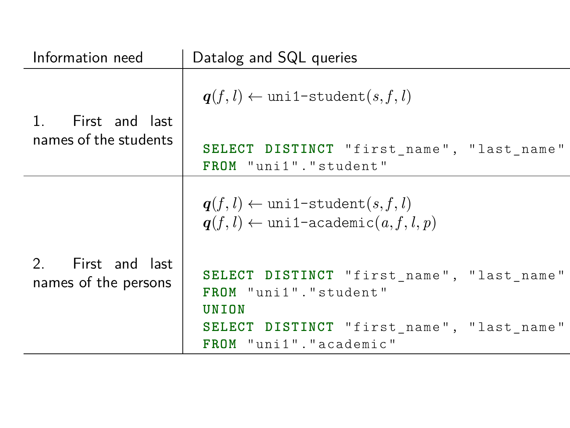| Information need                                      | Datalog and SQL queries                                                                                    |
|-------------------------------------------------------|------------------------------------------------------------------------------------------------------------|
| First and last                                        | $q(f, l) \leftarrow \text{uni1-student}(s, f, l)$                                                          |
| names of the students                                 | SELECT DISTINCT "first_name", "last_name"<br>FROM "uni1". "student"                                        |
|                                                       | $q(f, l) \leftarrow \text{unil-student}(s, f, l)$<br>$q(f, l) \leftarrow \text{uni1-academic}(a, f, l, p)$ |
| First and last<br>$2^{\circ}$<br>names of the persons | SELECT DISTINCT "first name", "last name"<br>FROM "uni1". "student"<br>UNION                               |
|                                                       | SELECT DISTINCT "first_name", "last_name"<br>FROM "uni1". "academic"                                       |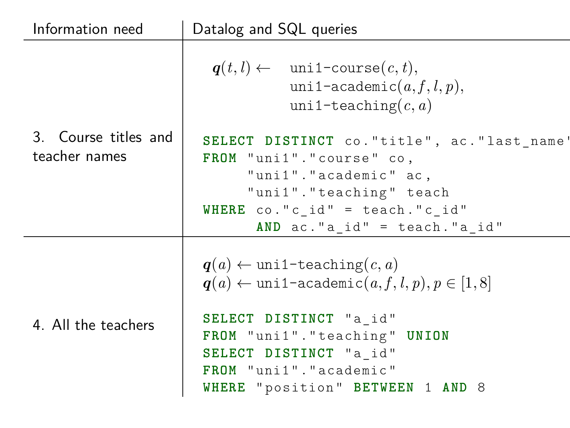| Information need                      | Datalog and SQL queries                                                                                                                                                                                                                                              |  |  |  |
|---------------------------------------|----------------------------------------------------------------------------------------------------------------------------------------------------------------------------------------------------------------------------------------------------------------------|--|--|--|
|                                       | $q(t, l) \leftarrow \text{unil-course}(c, t),$<br>uni1-academic $(a, f, l, p)$ ,<br>uni1-teaching $(c, a)$                                                                                                                                                           |  |  |  |
| 3. Course titles and<br>teacher names | SELECT DISTINCT co. "title", ac. "last name<br>FROM "uni1"."course" co,<br>"uni1"."academic" ac,<br>"uni1"."teaching" teach<br>WHERE $co.'c$ id" = teach." $c$ id"<br>AND $ac.'a$ id" = teach."a id"                                                                 |  |  |  |
| 4. All the teachers                   | $q(a) \leftarrow \text{unif-teaching}(c, a)$<br>$q(a) \leftarrow \text{uni1-academic}(a, f, l, p), p \in [1, 8]$<br>SELECT DISTINCT "a id"<br>FROM "uni1". "teaching" UNION<br>SELECT DISTINCT "a id"<br>FROM "uni1". "academic"<br>WHERE "position" BETWEEN 1 AND 8 |  |  |  |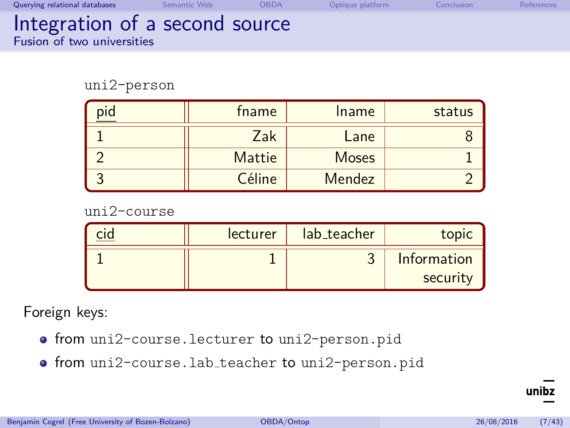| Querying relational databases                                       | Semantic Web | <b>OBDA</b> | Optique platform | Conclusion | References |
|---------------------------------------------------------------------|--------------|-------------|------------------|------------|------------|
| Integration of a second source<br><b>Fusion of two universities</b> |              |             |                  |            |            |

uni2-person

| pid | fname  | Iname        | status |
|-----|--------|--------------|--------|
|     | Zak    | Lane         |        |
|     | Mattie | <b>Moses</b> |        |
|     | Céline | Mendez       |        |

uni2-course

| lecturer | lab_teacher | topic                   |
|----------|-------------|-------------------------|
|          |             | Information<br>security |

Foreign keys:

- from uni2-course.lecturer to uni2-person.pid
- $\bullet$  from uni2-course.lab\_teacher to uni2-person.pid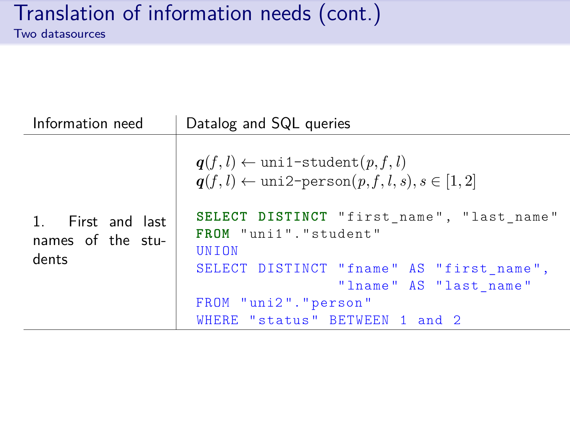| Information need                                | Datalog and SQL queries                                                                                                                                                                                                                                                             |  |  |
|-------------------------------------------------|-------------------------------------------------------------------------------------------------------------------------------------------------------------------------------------------------------------------------------------------------------------------------------------|--|--|
| 1. First and last<br>names of the stu-<br>dents | $q(f, l) \leftarrow \text{unil-student}(p, f, l)$<br>$q(f, l) \leftarrow \text{uni2-person}(p, f, l, s), s \in [1, 2]$<br>SELECT DISTINCT "first name", "last name"<br>FROM "uni1". "student"<br><b>UNTON</b><br>SELECT DISTINCT "fname" AS "first name",<br>"lname" AS "last name" |  |  |
|                                                 | FROM "uni2"."person"<br>WHERE "status" BETWEEN 1 and 2                                                                                                                                                                                                                              |  |  |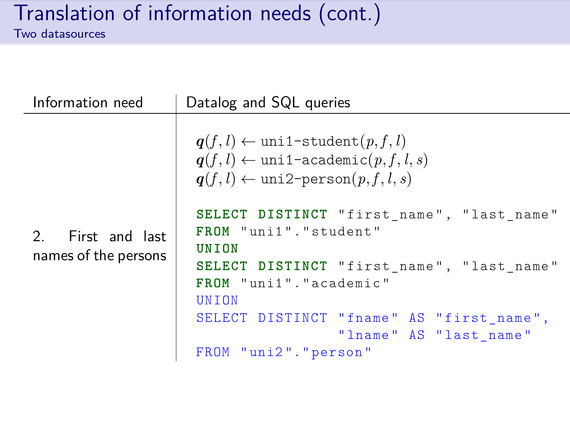| $q(f, l) \leftarrow \text{uni1-student}(p, f, l)$<br>$q(f, l) \leftarrow \text{unil-academic}(p, f, l, s)$<br>$q(f, l) \leftarrow \text{uni2-person}(p, f, l, s)$<br>SELECT DISTINCT "first_name", "last_name"<br>FROM "uni1". "student"<br>2. First and last<br>UNION<br>names of the persons<br>SELECT DISTINCT "first_name", "last_name"<br>FROM "uni1"."academic" | UNTON<br>SELECT DISTINCT "fname" AS "first_name", | Information need | Datalog and SQL queries |
|-----------------------------------------------------------------------------------------------------------------------------------------------------------------------------------------------------------------------------------------------------------------------------------------------------------------------------------------------------------------------|---------------------------------------------------|------------------|-------------------------|
|                                                                                                                                                                                                                                                                                                                                                                       |                                                   |                  |                         |
|                                                                                                                                                                                                                                                                                                                                                                       |                                                   |                  |                         |
|                                                                                                                                                                                                                                                                                                                                                                       |                                                   |                  |                         |
|                                                                                                                                                                                                                                                                                                                                                                       |                                                   |                  |                         |
| "lname" AS "last name"                                                                                                                                                                                                                                                                                                                                                |                                                   |                  | FROM "uni2"."person"    |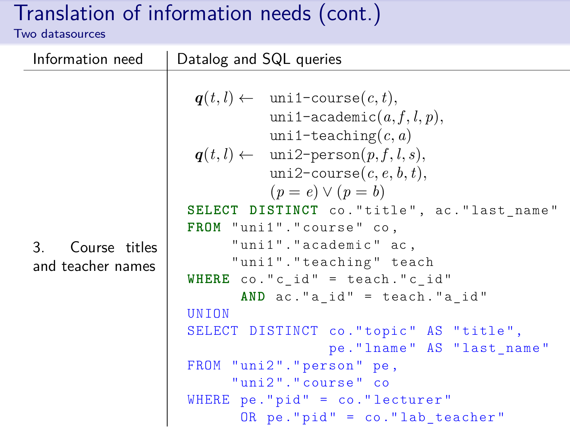| Information need    | Datalog and SQL queries                                                                                                                                                                                                                                                                                                           |
|---------------------|-----------------------------------------------------------------------------------------------------------------------------------------------------------------------------------------------------------------------------------------------------------------------------------------------------------------------------------|
| Course titles<br>3. | $q(t, l) \leftarrow \text{uni1-course}(c, t),$<br>uni1-academic $(a, f, l, p)$ ,<br>uni1-teaching $(c, a)$<br>$q(t, l) \leftarrow \text{uni2-person}(p, f, l, s),$<br>uni2-course $(c, e, b, t)$ ,<br>$(p = e) \vee (p = b)$<br>SELECT DISTINCT co. "title", ac. "last_name"<br>FROM "uni1"."course" co,<br>"uni1"."academic" ac, |
| and teacher names   | "uni1"."teaching" teach<br>WHERE $co.'c_id'' = teach.'c_id''$<br>AND ac."a id" = teach."a id"<br>UNTON<br>SELECT DISTINCT co."topic" AS "title",<br>pe. "lname" AS "last name"<br>FROM "uni2"."person" pe,<br>"uni2"."course" co<br>WHERE $pe.'pid' = co.'lecturer'$<br>OR pe."pid" = co."lab_teacher"                            |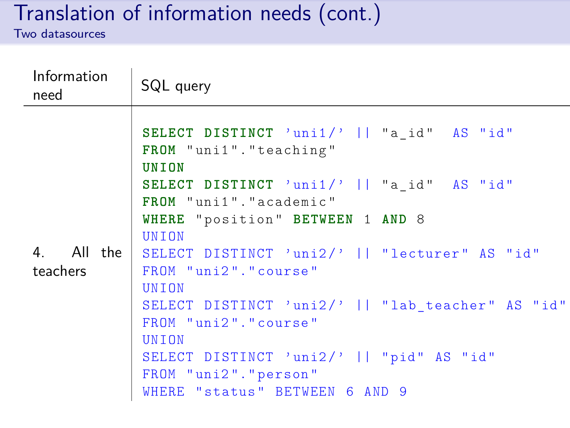| Information<br>need      | SQL query                                                                                          |
|--------------------------|----------------------------------------------------------------------------------------------------|
|                          | SELECT DISTINCT 'uni1/'    "a_id" AS "id"<br>FROM "uni1". "teaching"<br>UNION                      |
|                          | SELECT DISTINCT 'uni1/'    "a_id" AS "id"<br>FROM "uni1". "academic"                               |
|                          | WHERE "position" BETWEEN 1 AND 8<br><b>UNTON</b>                                                   |
| 4. All the l<br>teachers | SELECT DISTINCT 'uni2/'    "lecturer" AS "id"<br>FROM "uni2"."course"<br>UNION                     |
|                          | SELECT DISTINCT 'uni2/'    "lab teacher" AS "id"<br>FROM "uni2"."course"<br>UNION                  |
|                          | SELECT DISTINCT 'uni2/'    "pid" AS "id"<br>FROM "uni2"."person"<br>WHERE "status" BETWEEN 6 AND 9 |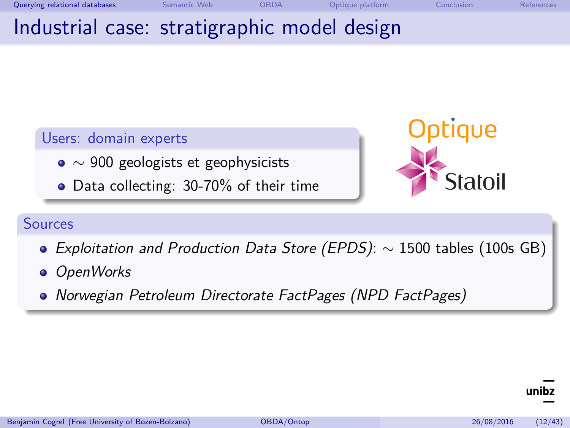<span id="page-14-0"></span>[Querying relational databases](#page-2-0) [Semantic Web](#page-23-0) [OBDA](#page-43-0) [Optique platform](#page-63-0) [Conclusion](#page-66-0) [References](#page-70-0) Industrial case: stratigraphic model design

### Users: domain experts

- $\bullet \sim 900$  geologists et geophysicists
- Data collecting: 30-70% of their time



#### Sources

- Exploitation and Production Data Store (EPDS): ∼ 1500 tables (100s GB)
- **·** OpenWorks
- Norwegian Petroleum Directorate FactPages (NPD FactPages)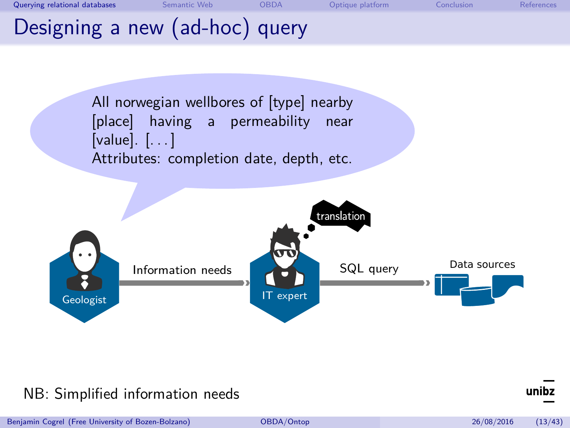





#### NB: Simplified information needs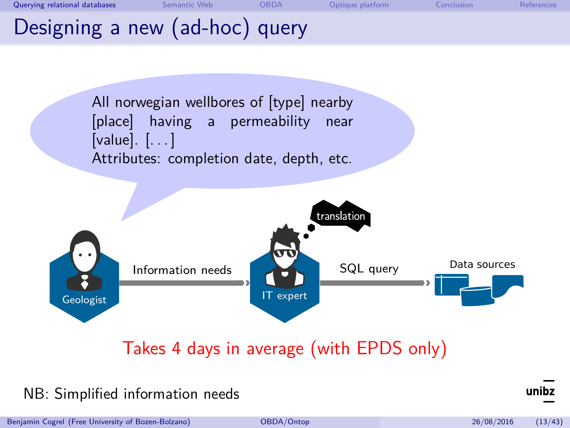



# Takes 4 days in average (with EPDS only)

#### NB: Simplified information needs

Benjamin Cogrel (Free University of Bozen-Bolzano) [OBDA/Ontop](#page-0-0) 26/08/2016 (13/43)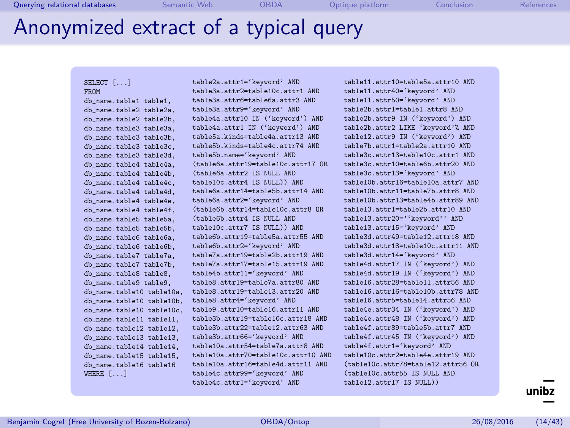# Anonymized extract of a typical query

#### SELECT [...] FROM

db\_name.table1 table1, db\_name.table2 table2a. db\_name.table2 table2b, db\_name.table3 table3a, db\_name.table3 table3b. db\_name.table3 table3c, db\_name.table3 table3d, db\_name.table4 table4a, db\_name.table4 table4b. db\_name.table4 table4c, db\_name.table4 table4d, db\_name\_table4 table4e db\_name.table4 table4f, db\_name.table5 table5a, db\_name.table5 table5b, db\_name\_table6 table6a db\_name.table6 table6b, db\_name.table7 table7a, db\_name.table7 table7b. db\_name.table8 table8, db\_name.table9 table9, db\_name.table10 table10a, db\_name.table10 table10b. db\_name.table10 table10c, db\_name.table11 table11, db\_name.table12 table12, db\_name.table13 table13, db\_name.table14 table14, db\_name.table15 table15, db\_name.table16 table16 WHERE  $[., .]$ 

table2a.attr1='keyword' AND table3a.attr2=table10c.attr1 AND table3a.attr6=table6a.attr3 AND table3a.attr9='keyword' AND table4a.attr10 IN ('keyword') AND table4a.attr1 IN ('keyword') AND table5a.kinds=table4a.attr13 AND table5b.kinds=table4c.attr74 AND table5b.name='keyword' AND (table6a.attr19=table10c.attr17 OR (table6a.attr2 IS NULL AND table10c.attr4 IS NULL)) AND table6a.attr14=table5b.attr14 AND table6a.attr2='keyword' AND (table6b.attr14=table10c.attr8 OR (table6b.attr4 IS NULL AND table10c.attr7 IS NULL)) AND table6b.attr19=table5a.attr55 AND table6b.attr2='keyword' AND table7a.attr19=table2b.attr19 AND table7a.attr17=table15.attr19 AND table4b.attr11='keyword' AND table8.attr19=table7a.attr80 AND table8.attr19=table13.attr20 AND table8.attr4='keyword' AND table9.attr10=table16.attr11 AND table3b.attr19=table10c.attr18 AND table3b.attr22=table12.attr63 AND table3b.attr66='keyword' AND table10a.attr54=table7a.attr8 AND table10a.attr70=table10c.attr10 AND table10a.attr16=table4d.attr11 AND table4c.attr99='keyword' AND table4c.attr1='keyword' AND

table11.attr10=table5a.attr10 AND table11.attr40='keyword' AND table11.attr50='keyword' AND table2b.attr1=table1.attr8 AND table2b.attr9 IN ('keyword') AND table2b.attr2 LIKE 'keyword'% AND table12.attr9 IN ('keyword') AND table7b.attr1=table2a.attr10 AND table3c.attr13=table10c.attr1 AND table3c.attr10=table6b.attr20 AND table3c.attr13='keyword' AND table10b.attr16=table10a.attr7 AND table10b.attr11=table7b.attr8 AND table10b.attr13=table4b.attr89 AND table13.attr1=table2b.attr10 AND table13.attr20=''keyword'' AND table13.attr15='keyword' AND table3d.attr49=table12.attr18 AND table3d.attr18=table10c.attr11 AND table3d.attr14='keyword' AND table4d.attr17 IN ('keyword') AND table4d.attr19 IN ('keyword') AND table16.attr28=table11.attr56 AND table16.attr16=table10b.attr78 AND table16.attr5=table14.attr56 AND table4e.attr34 IN ('keyword') AND table4e.attr48 IN ('keyword') AND table4f.attr89=table5b.attr7 AND table4f.attr45 IN ('keyword') AND table4f.attr1='keyword' AND table10c.attr2=table4e.attr19 AND (table10c.attr78=table12.attr56 OR (table10c.attr55 IS NULL AND table12.attr17 IS NULL))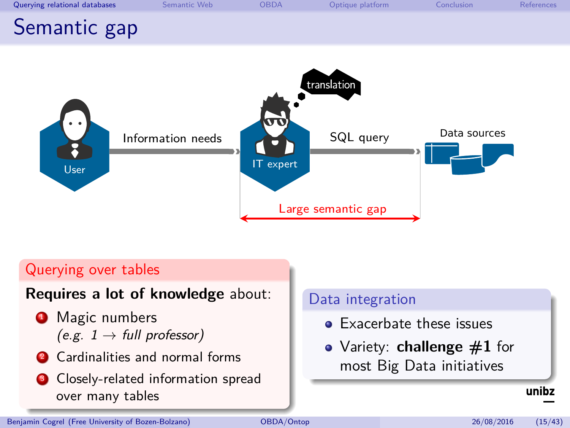<span id="page-18-0"></span>



#### Querying over tables

#### **Requires a lot of knowledge** about:

- **1** Magic numbers  $(e.g. 1 \rightarrow full professor)$
- **2** Cardinalities and normal forms
- **3** Closely-related information spread over many tables

#### Data integration

- **Exacerbate these issues**
- Variety: **challenge #1** for most Big Data initiatives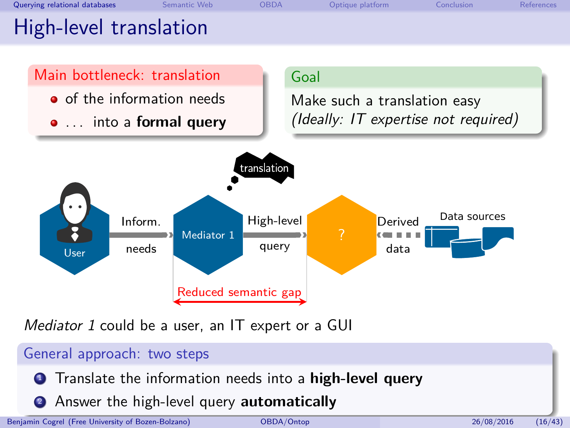<span id="page-19-0"></span>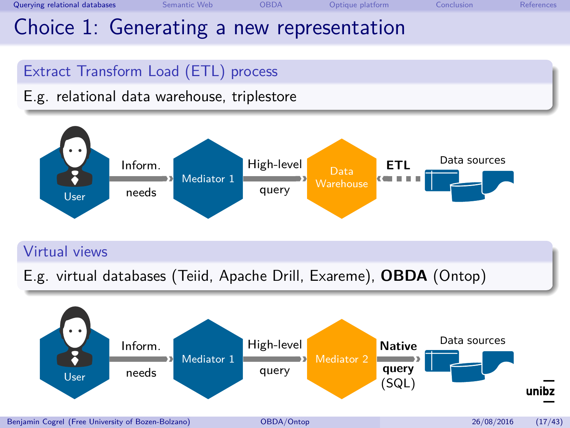# Choice 1: Generating a new representation

# Extract Transform Load (ETL) process

# E.g. relational data warehouse, triplestore



### Virtual views

E.g. virtual databases (Teiid, Apache Drill, Exareme), **OBDA** (Ontop)

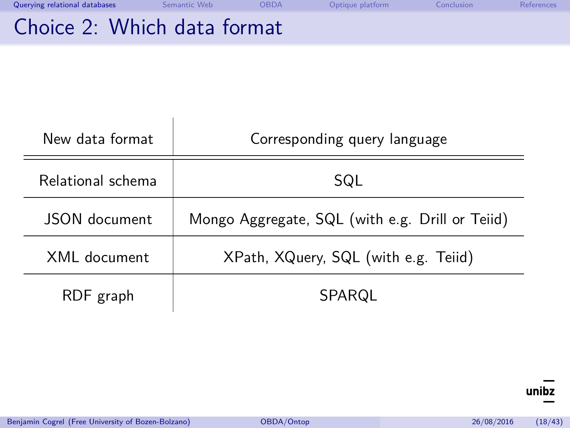| Querying relational databases | Semantic Web | OBDA | Optique platform | Conclusion | References |
|-------------------------------|--------------|------|------------------|------------|------------|
| Choice 2: Which data format   |              |      |                  |            |            |

| New data format   | Corresponding query language                    |
|-------------------|-------------------------------------------------|
| Relational schema | SQL                                             |
| JSON document     | Mongo Aggregate, SQL (with e.g. Drill or Teiid) |
| XMI document      | XPath, XQuery, SQL (with e.g. Teiid)            |
| RDF graph         | SPARQL                                          |

 $\overline{\text{unibz}}$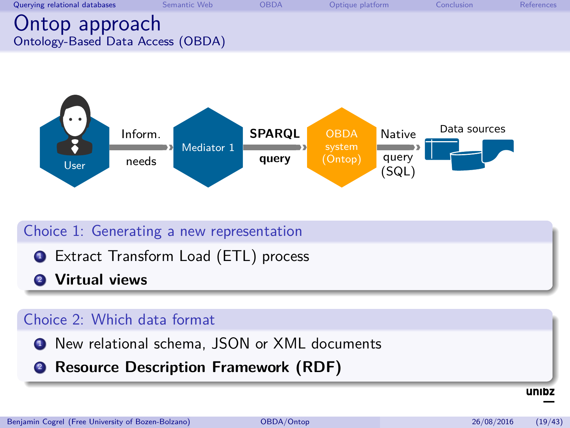| Querying relational databases                       | Semantic Web | <b>OBDA</b> | Optique platform | Conclusion | References |
|-----------------------------------------------------|--------------|-------------|------------------|------------|------------|
| Ontop approach<br>Ontology-Based Data Access (OBDA) |              |             |                  |            |            |



### Choice 1: Generating a new representation

- **1** Extract Transform Load (ETL) process
- <sup>2</sup> **Virtual views**

#### Choice 2: Which data format

- **1** New relational schema, JSON or XML documents
- <sup>2</sup> **Resource Description Framework (RDF)**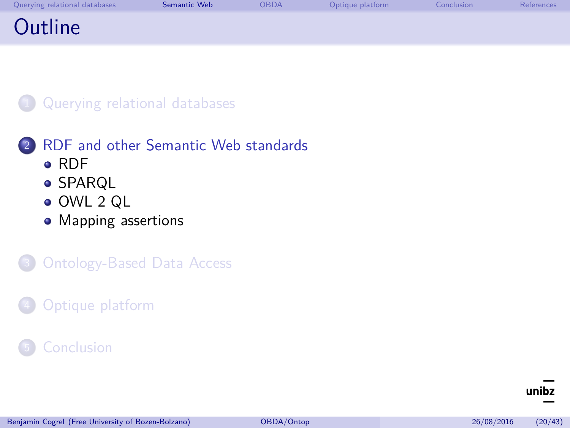<span id="page-23-0"></span>

| Querying relational databases | Semantic Web | <b>OBDA</b> | Optique platform | Conclusion | References |
|-------------------------------|--------------|-------------|------------------|------------|------------|
| Outline                       |              |             |                  |            |            |



# 2 [RDF and other Semantic Web standards](#page-23-0)

- [RDF](#page-24-0)
- **[SPARQL](#page-30-0)**
- [OWL 2 QL](#page-32-0)
- [Mapping assertions](#page-36-0)

# **[Ontology-Based Data Access](#page-43-0)**

# [Optique platform](#page-63-0)

### **[Conclusion](#page-66-0)**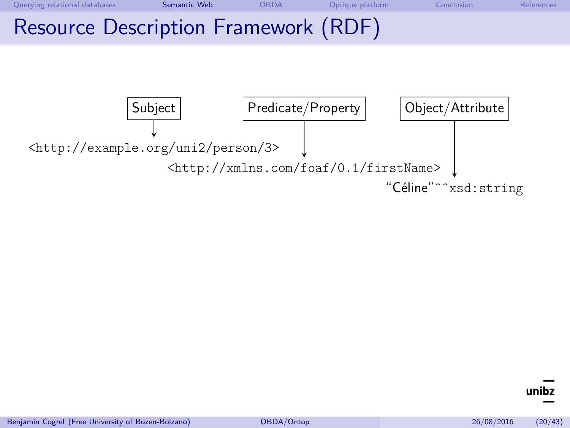<span id="page-24-0"></span>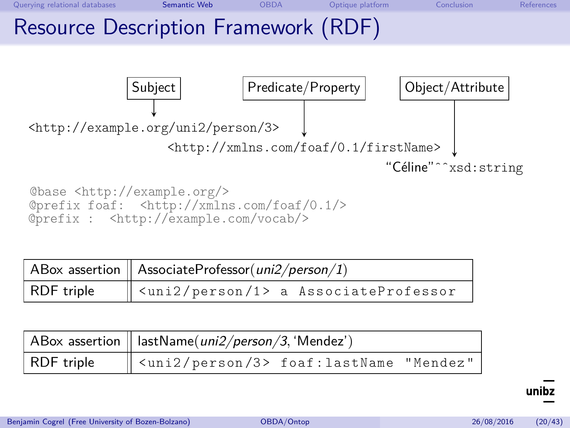

@base <http://example.org/> @prefix foaf: <http://xmlns.com/foaf/0.1/> @prefix : <http://example.com/vocab/>

|            | ABox assertion   AssociateProfessor(uni2/person/1)            |  |  |  |
|------------|---------------------------------------------------------------|--|--|--|
| RDF triple | $\parallel$ <uni2 1="" person=""> a AssociateProfessor</uni2> |  |  |  |

|            | ABox assertion $\parallel$ lastName( <i>uni2/person/3</i> , 'Mendez') |  |  |  |
|------------|-----------------------------------------------------------------------|--|--|--|
| RDF triple | $\ $ <uni2 3="" person=""> foaf:lastName "Mendez"</uni2>              |  |  |  |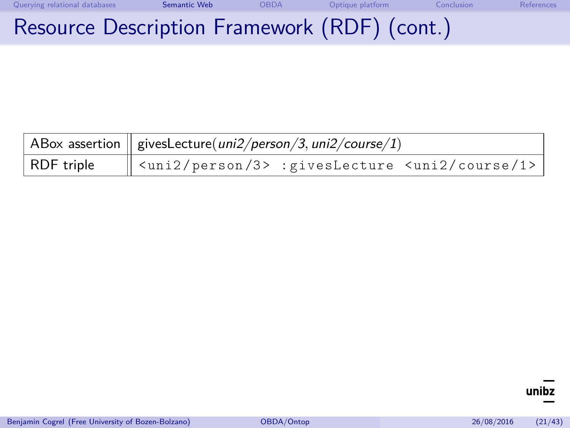| Querying relational databases | Semantic Web                                 | OBDA | Optique platform | Conclusion | References |
|-------------------------------|----------------------------------------------|------|------------------|------------|------------|
|                               | Resource Description Framework (RDF) (cont.) |      |                  |            |            |

|            | $\mid$ ABox assertion $\mid\mid$ givesLecture(uni2/person/3, uni2/course/1)         |  |  |  |
|------------|-------------------------------------------------------------------------------------|--|--|--|
| RDF triple | $\parallel$ <uni2 3="" person=""> :givesLecture <uni2 1="" course=""></uni2></uni2> |  |  |  |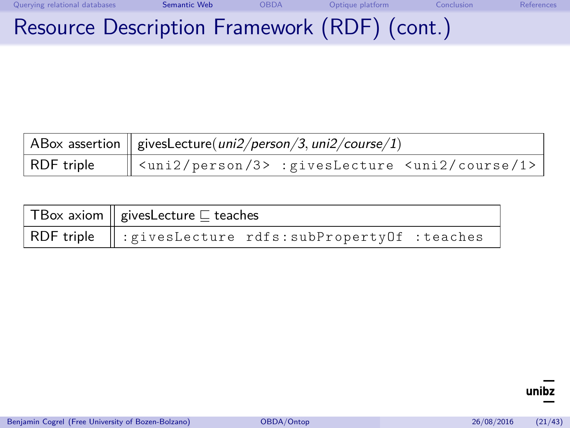| Querying relational databases | Semantic Web                                 | OBDA | Optique platform | <b>Conclusion</b> | References |
|-------------------------------|----------------------------------------------|------|------------------|-------------------|------------|
|                               | Resource Description Framework (RDF) (cont.) |      |                  |                   |            |

|            | $\mid$ ABox assertion $\mid\mid$ givesLecture(uni2/person/3, uni2/course/1)          |  |  |  |
|------------|--------------------------------------------------------------------------------------|--|--|--|
| RDF triple | $\parallel$ <uni2 3="" person=""> : givesLecture <uni2 1="" course=""></uni2></uni2> |  |  |  |

| $\mid$ TBox axiom $\mid \mid$ givesLecture $\sqsubseteq$ teaches |  |  |  |
|------------------------------------------------------------------|--|--|--|
| RDF triple    : givesLecture rdfs: subPropertyOf : teaches       |  |  |  |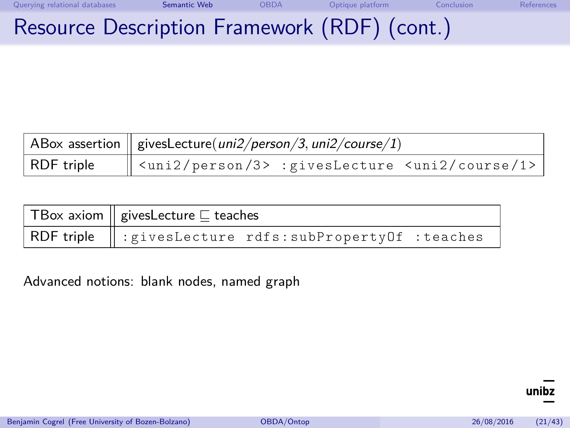| Querying relational databases | Semantic Web                                 | OBDA | Optique platform | <b>Conclusion</b> | References |
|-------------------------------|----------------------------------------------|------|------------------|-------------------|------------|
|                               | Resource Description Framework (RDF) (cont.) |      |                  |                   |            |

|            | $\mid$ ABox assertion $\mid \mid$ givesLecture(uni2/person/3, uni2/course/1) |  |  |  |
|------------|------------------------------------------------------------------------------|--|--|--|
| RDF triple | $\ $ <uni2 3="" person=""> :givesLecture <uni2 1="" course=""></uni2></uni2> |  |  |  |

| $\top$ Box axiom $\parallel$ givesLecture $\sqsubseteq$ teaches     |  |  |  |  |
|---------------------------------------------------------------------|--|--|--|--|
| RDF triple $\parallel$ : givesLecture rdfs: subPropertyOf : teaches |  |  |  |  |

Advanced notions: blank nodes, named graph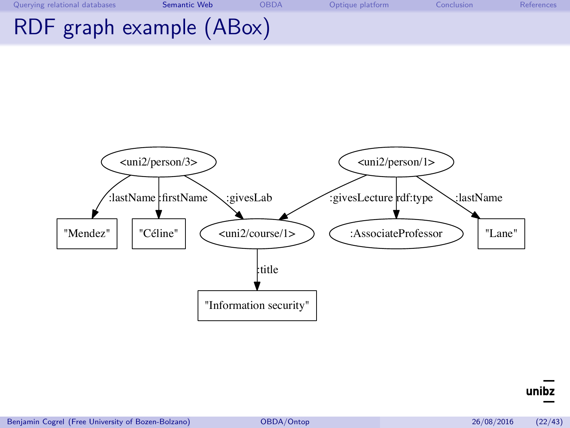| Querying relational databases | Semantic Web | <b>OBDA</b> | Optique platform | Conclusion | <b>References</b> |
|-------------------------------|--------------|-------------|------------------|------------|-------------------|
| RDF graph example (ABox)      |              |             |                  |            |                   |

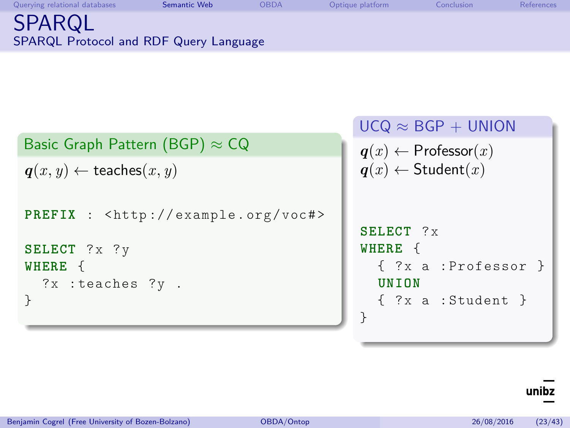<span id="page-30-0"></span>

| Querying relational databases                    | Semantic Web | OBDA | Optique platform | Conclusion | References |
|--------------------------------------------------|--------------|------|------------------|------------|------------|
| SPARQL<br>SPARQL Protocol and RDF Query Language |              |      |                  |            |            |

|                                                                   | $UCQ \approx BGP + UNION$         |
|-------------------------------------------------------------------|-----------------------------------|
| Basic Graph Pattern (BGP) $\approx$ CQ                            | $q(x) \leftarrow$ Professor $(x)$ |
| $q(x, y) \leftarrow$ teaches $(x, y)$                             | $q(x) \leftarrow$ Student $(x)$   |
| <b>PREFIX</b> : $\langle \text{http://example.org/voc#>} \rangle$ |                                   |
|                                                                   | SELECT ?x                         |
| SELECT ?x ?y                                                      | WHERE {                           |
| WHERE {                                                           | { ?x a : Professor }              |
| ?x :teaches ?y .                                                  | UNTON                             |
|                                                                   | { ?x a : Student }                |
|                                                                   |                                   |

# $\overline{\text{unibz}}$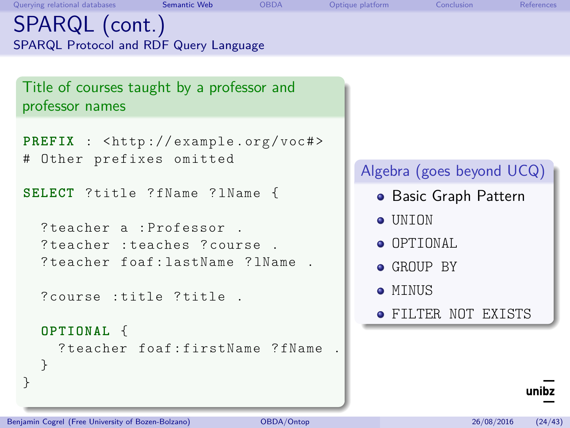# SPARQL (cont.) SPARQL Protocol and RDF Query Language

Title of courses taught by a professor and professor names

```
PREFIX : <http://example.org/voc#>
# Other prefixes omitted
```
**SELECT** ? title ? fName ? lName {

```
? teacher a : Professor .
? teacher : teaches ? course .
? teacher foaf : lastName ? lName .
```
? course : title ? title .

```
OPTIONAL {
```
} }

? teacher foaf : firstName ? fName .

### Algebra (goes beyond UCQ)

- **•** Basic Graph Pattern
- **o** IINTON
- **O** OPTIONAL
- $\bullet$  GROUP BY
- **MINUS**
- FILTER NOT EXISTS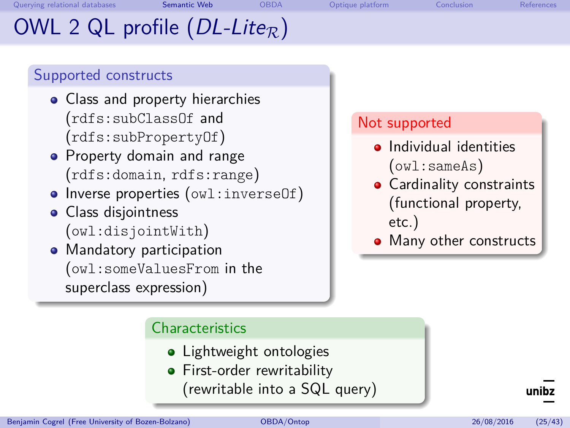<span id="page-32-0"></span>[Querying relational databases](#page-2-0) [Semantic Web](#page-23-0) [OBDA](#page-43-0) [Optique platform](#page-63-0) [Conclusion](#page-66-0) [References](#page-70-0)

# OWL 2 QL profile  $(DL\text{-}Like_R)$

# Supported constructs

- Class and property hierarchies (rdfs:subClassOf and (rdfs:subPropertyOf)
- Property domain and range (rdfs:domain, rdfs:range)
- Inverse properties (owl:inverseOf)
- Class disjointness (owl:disjointWith)
- Mandatory participation (owl:someValuesFrom in the superclass expression)

### Not supported

- **•** Individual identities (owl:sameAs)
- Cardinality constraints (functional property, etc.)
- Many other constructs

### **Characteristics**

- Lightweight ontologies
- **•** First-order rewritability
	- (rewritable into a SQL query)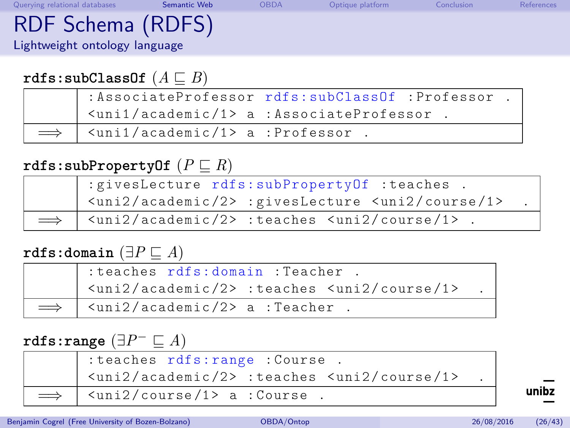| Querying relational databases | Semantic Web | <b>OBDA</b> | Optique platform | Conclusion | References |
|-------------------------------|--------------|-------------|------------------|------------|------------|
| RDF Schema (RDFS)             |              |             |                  |            |            |
| Lightweight ontology language |              |             |                  |            |            |
|                               |              |             |                  |            |            |

### $r$ dfs:subClassOf  $(A \sqsubseteq B)$

|                                                      | : AssociateProfessor rdfs: subClassOf : Professor .                          |
|------------------------------------------------------|------------------------------------------------------------------------------|
|                                                      | $\frac{1}{\sqrt{1}}$ <uni1 1="" academic=""> a : AssociateProfessor .</uni1> |
| $\vert$ <uni1 1="" academic=""> a :Professor.</uni1> |                                                                              |

### $\texttt{rdfs:subPropertyOf}(P \sqsubset R)$

| : givesLecture rdfs: subPropertyOf : teaches .                                                                        |  |
|-----------------------------------------------------------------------------------------------------------------------|--|
| <uni2 2="" academic=""> :givesLecture <uni2 1="" course=""></uni2></uni2>                                             |  |
| $\implies$   $\langle \text{uni2}/\text{academic}/2 \rangle$ :teaches $\langle \text{uni2}/\text{course}/1 \rangle$ . |  |

### **rdfs:domain**  $(∃P ⊆ A)$

| : teaches rdfs: domain : Teacher .                                                 |  |
|------------------------------------------------------------------------------------|--|
| $\frac{1}{2}$ <uni2 2="" academic=""> :teaches <uni2 1="" course=""></uni2></uni2> |  |
| $\implies$   $\langle \text{uni2}/\text{academic}/2 \rangle$ a : Teacher.          |  |

# $\texttt{rdfs:range} \ (\exists P^- \sqsubseteq A)$

|            | : teaches rdfs: range : Course.                                                    |  |
|------------|------------------------------------------------------------------------------------|--|
|            | $\frac{1}{2}$ <uni2 2="" academic=""> :teaches <uni2 1="" course=""></uni2></uni2> |  |
| $\implies$ | $\vert$ <uni2 1="" course=""> a : Course.</uni2>                                   |  |

Benjamin Cogrel (Free University of Bozen-Bolzano) [OBDA/Ontop](#page-0-0) 26/08/2016 (26/43)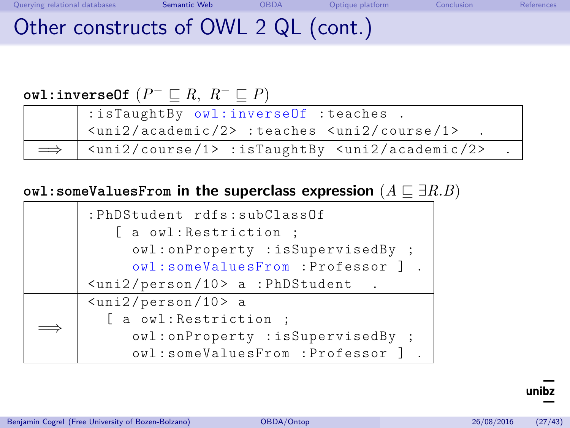# Other constructs of OWL 2 QL (cont.)

# $\mathsf{owl:inverseOf}$   $(P^- \sqsubseteq R, R^- \sqsubseteq P)$

| : isTaughtBy owl:inverseOf : teaches .                                               |  |
|--------------------------------------------------------------------------------------|--|
| $\vert$ <uni2 2="" academic=""> :teaches <uni2 1="" course=""></uni2></uni2>         |  |
| $\implies$   <uni2 1="" course=""> :isTaughtBy <uni2 2="" academic=""></uni2></uni2> |  |

#### owl:someValuesFrom in the superclass expression  $(A \sqsubseteq \exists R.B)$

|  | :PhDStudent rdfs:subClassOf                |
|--|--------------------------------------------|
|  | a owl: Restriction;                        |
|  | owl:onProperty :isSupervisedBy ;           |
|  | owl:someValuesFrom :Professor ] .          |
|  | $\frac{1}{2}$ /person/10> a : PhDStudent . |
|  | $\frac{10}{2}$ /person/10> a               |
|  | [ a owl: Restriction ;                     |
|  | owl:onProperty :isSupervisedBy ;           |
|  | owl:someValuesFrom :Professor ] .          |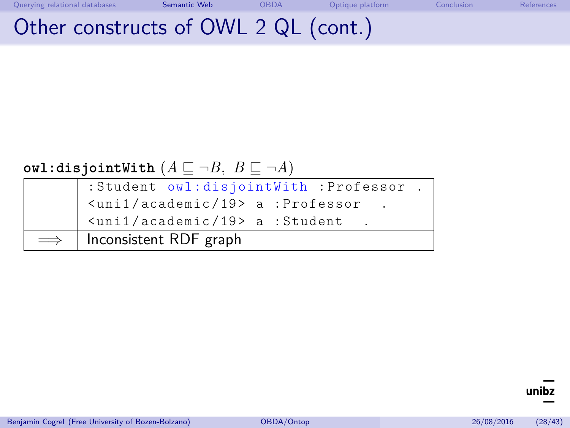# Other constructs of OWL 2 QL (cont.)

### **owl:disjointWith**  $(A \sqsubseteq \neg B, B \sqsubseteq \neg A)$

| : Student owl:disjointWith : Professor.                      |
|--------------------------------------------------------------|
| $\frac{1}{2}$ <uni1 19="" academic=""> a :Professor .</uni1> |
| <uni1 19="" academic=""> a :Student</uni1>                   |
| $\implies$   Inconsistent RDF graph                          |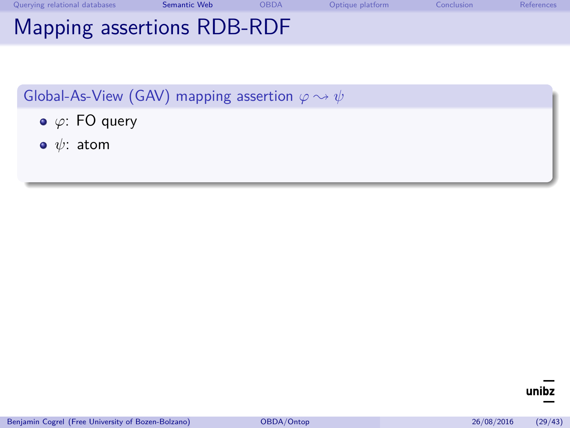| Querying relational databases | Semantic Web | <b>OBDA</b> | Optique platform | Conclusion | <b>References</b> |
|-------------------------------|--------------|-------------|------------------|------------|-------------------|
| Mapping assertions RDB-RDF    |              |             |                  |            |                   |

- *ϕ*: FO query
- *ψ*: atom

unibz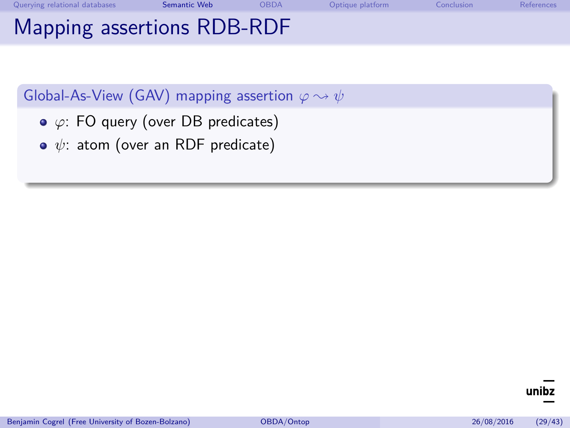| Querying relational databases | Semantic Web | <b>OBDA</b> | Optique platform | Conclusion | <b>References</b> |
|-------------------------------|--------------|-------------|------------------|------------|-------------------|
| Mapping assertions RDB-RDF    |              |             |                  |            |                   |

- *ϕ*: FO query (over DB predicates)
- *ψ*: atom (over an RDF predicate)

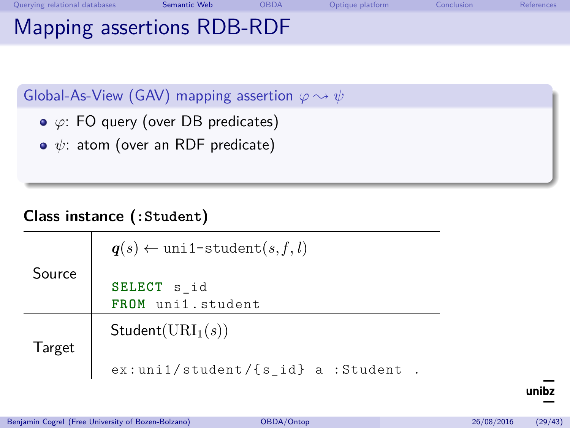| Querying relational databases | Semantic Web | <b>OBDA</b> | Optique platform | Conclusion | References |
|-------------------------------|--------------|-------------|------------------|------------|------------|
| Mapping assertions RDB-RDF    |              |             |                  |            |            |

- *ϕ*: FO query (over DB predicates)
- **•**  $ψ$ : atom (over an RDF predicate)

#### **Class instance (:Student)**

|        | $q(s) \leftarrow \text{unit-student}(s, f, l)$ |
|--------|------------------------------------------------|
| Source | SELECT s id<br>FROM uni1.student               |
| Target | Student(URI <sub>1</sub> (s))                  |
|        | $ex:$ uni1/student/{s id} a :Student           |

unibz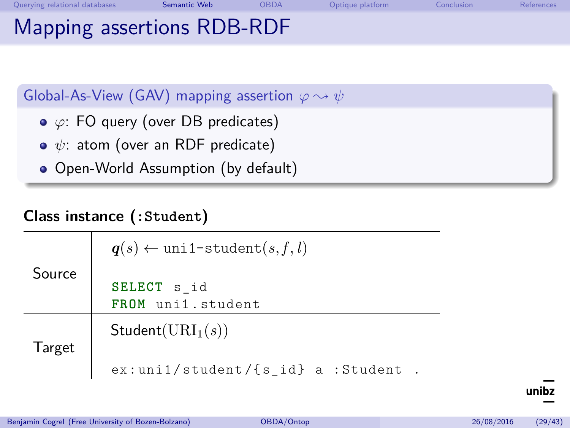| Querying relational databases | <b>Semantic Web</b> | <b>OBDA</b> | Optique platform | Conclusion | References |
|-------------------------------|---------------------|-------------|------------------|------------|------------|
| Mapping assertions RDB-RDF    |                     |             |                  |            |            |

- *ϕ*: FO query (over DB predicates)
- $\phi$ : atom (over an RDF predicate)
- Open-World Assumption (by default)

#### **Class instance (:Student)**

|        | $q(s) \leftarrow \text{unil-student}(s, f, l)$ |  |  |  |  |  |
|--------|------------------------------------------------|--|--|--|--|--|
| Source | SELECT s id<br>FROM uni1.student               |  |  |  |  |  |
| Target | Student(URI <sub>1</sub> (s))                  |  |  |  |  |  |
|        | $ex:$ uni1/student/{s id} a :Student           |  |  |  |  |  |

unihz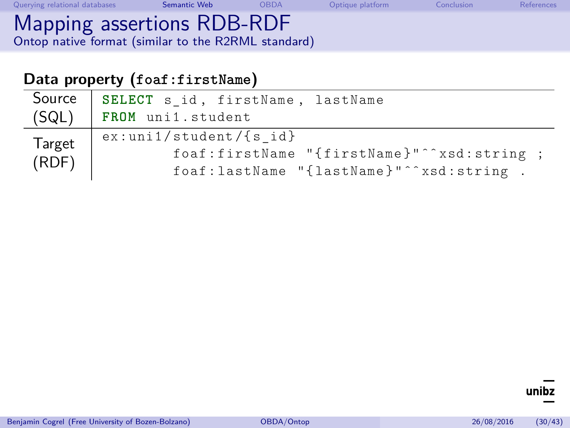| Querying relational databases                                                     | Semantic Web | <b>OBDA</b> | Optique platform | <b>Conclusion</b> | References |
|-----------------------------------------------------------------------------------|--------------|-------------|------------------|-------------------|------------|
| Mapping assertions RDB-RDF<br>Ontop native format (similar to the R2RML standard) |              |             |                  |                   |            |

## **Data property (foaf:firstName)**

| Source          | SELECT s id, firstName, lastName           |
|-----------------|--------------------------------------------|
| (SQL)           | FROM uni1.student                          |
| Target<br>(RDF) | $ex:$ uni1/student/{s id}                  |
|                 | foaf:firstName "{firstName}"^^xsd:string ; |
|                 | foaf:lastName "{lastName}"^^xsd:string .   |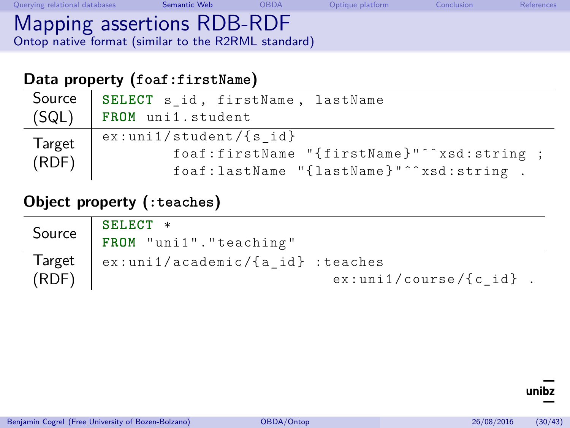| Querying relational databases                                                     | Semantic Web | <b>OBDA</b> | Optique platform | Conclusion | References |
|-----------------------------------------------------------------------------------|--------------|-------------|------------------|------------|------------|
| Mapping assertions RDB-RDF<br>Ontop native format (similar to the R2RML standard) |              |             |                  |            |            |

#### **Data property (foaf:firstName)**

| Source<br>(SQL) | SELECT s_id, firstName, lastName<br>FROM uni1.student |
|-----------------|-------------------------------------------------------|
| Target<br>(RDF) | $ex:$ uni1/student/{s id}                             |
|                 | foaf:firstName "{firstName}"^^xsd:string ;            |
|                 | foaf:lastName "{lastName}"^^xsd:string .              |

#### **Object property (:teaches)**

| Source          | SELECT *<br>FROM "uni1". "teaching"      |                           |
|-----------------|------------------------------------------|---------------------------|
| Target<br>(RDF) | $\vert$ ex:uni1/academic/{a id} :teaches | $ex:$ uni1/course/{c id}. |

unibz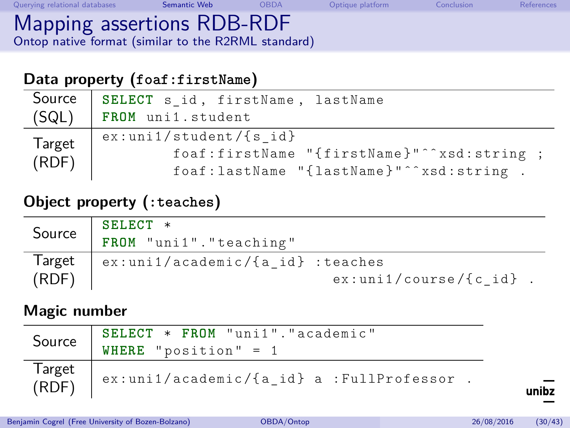| Querying relational databases                                                     | Semantic Web | <b>OBDA</b> | Optique platform | Conclusion | References |
|-----------------------------------------------------------------------------------|--------------|-------------|------------------|------------|------------|
| Mapping assertions RDB-RDF<br>Ontop native format (similar to the R2RML standard) |              |             |                  |            |            |

#### **Data property (foaf:firstName)**

| Source<br>(SQL) | SELECT s id, firstName, lastName<br>FROM uni1.student |
|-----------------|-------------------------------------------------------|
| <b>Target</b>   | $ex:$ uni1/student/{s id}                             |
|                 | foaf:firstName "{firstName}"^^xsd:string ;            |
| (RDF)           | foaf:lastName "{lastName}"^^xsd:string .              |

#### **Object property (:teaches)**

| Source          | SELECT *<br>FROM "uni1". "teaching" |                           |
|-----------------|-------------------------------------|---------------------------|
| Target<br>(RDF) | ex:uni1/academic/{a id} :teaches    | $ex:$ uni1/course/{c id}. |

#### **Magic number**

| Source          | SELECT * FROM "uni1". "academic"<br>WHERE "position" = $1$ |
|-----------------|------------------------------------------------------------|
| Target<br>(RDF) | $ex:$ uni1/academic/{a id} a :FullProfessor.               |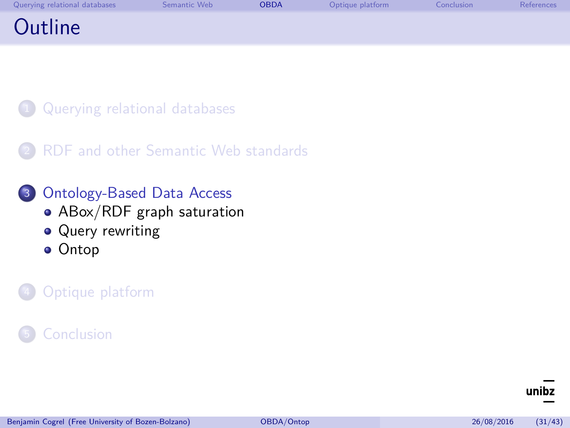<span id="page-43-0"></span>

| Querying relational databases | Semantic Web | <b>OBDA</b> | Optique platform | Conclusion | References |
|-------------------------------|--------------|-------------|------------------|------------|------------|
| Outline                       |              |             |                  |            |            |

- [Querying relational databases](#page-2-0)
- [RDF and other Semantic Web standards](#page-23-0)
- <sup>3</sup> [Ontology-Based Data Access](#page-43-0)
	- [ABox/RDF graph saturation](#page-44-0)
	- [Query rewriting](#page-56-0)
	- **•** [Ontop](#page-62-0)

#### [Optique platform](#page-63-0)

#### **[Conclusion](#page-66-0)**

unihz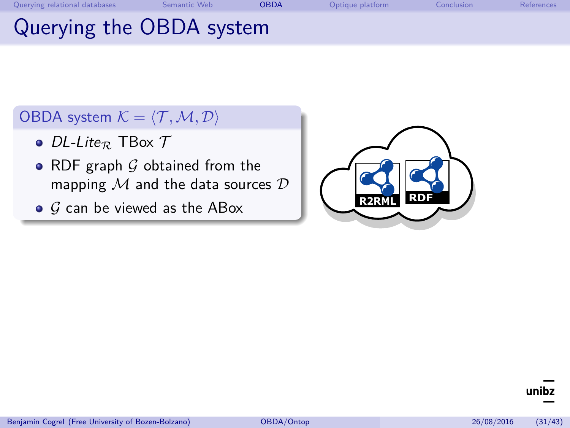<span id="page-44-0"></span>

| Querying relational databases | Semantic Web             | OBDA | Optique platform | Conclusion | References |
|-------------------------------|--------------------------|------|------------------|------------|------------|
|                               | Querying the OBDA system |      |                  |            |            |

#### OBDA system  $K = \langle T, M, D \rangle$

- DL-Lite<sub>R</sub> TBox  $\mathcal T$
- RDF graph  $G$  obtained from the mapping  $M$  and the data sources  $D$
- $\bullet$  G can be viewed as the ABox



unibz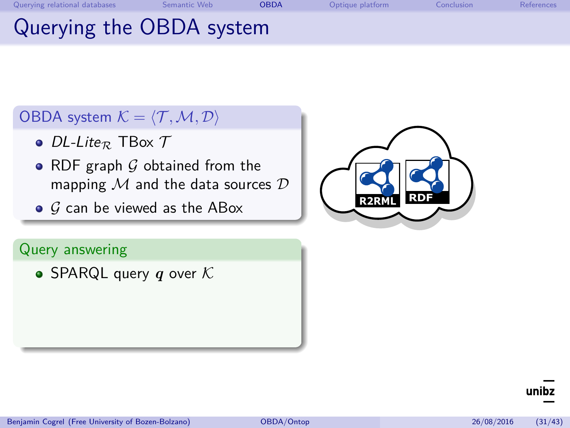| <b>OBDA</b><br>Semantic Web<br>Querying relational databases | Optique platform | Conclusion | References |
|--------------------------------------------------------------|------------------|------------|------------|
|--------------------------------------------------------------|------------------|------------|------------|

# Querying the OBDA system

#### OBDA system  $K = \langle T, M, D \rangle$

- $\bullet$  DL-Lite<sub>R</sub> TBox  $\mathcal T$
- RDF graph  $G$  obtained from the mapping  $M$  and the data sources  $D$
- $\bullet$  G can be viewed as the ABox

#### Query answering

• SPARQL query  $q$  over  $K$ 

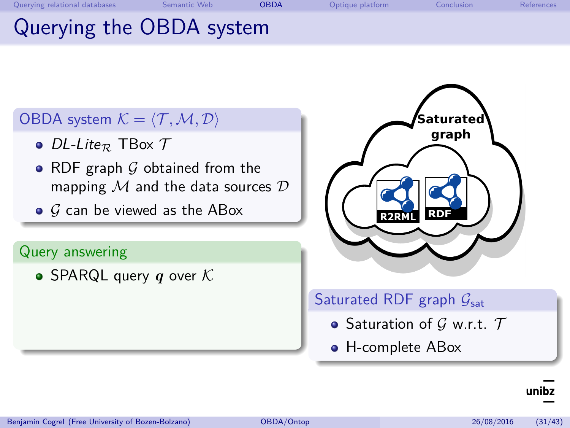# Querying the OBDA system

### OBDA system  $K = \langle T, M, D \rangle$

- $\bullet$  DL-Lite<sub>R</sub> TBox  $\mathcal T$
- RDF graph  $G$  obtained from the mapping  $M$  and the data sources  $D$
- $\bullet$  G can be viewed as the ABox

#### Query answering

• SPARQL query  $q$  over  $K$ 



#### Saturated RDF graph  $G_{sat}$

- Saturation of  $G$  w.r.t.  $T$
- H-complete ABox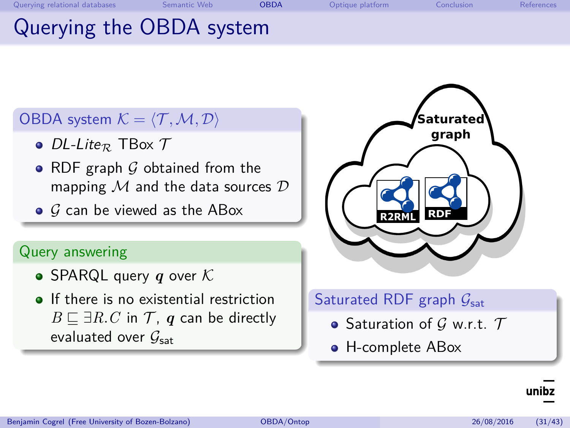# Querying the OBDA system

#### OBDA system  $K = \langle T, M, D \rangle$

- $\bullet$  DL-Lite<sub>R</sub> TBox  $\mathcal T$
- RDF graph  $G$  obtained from the mapping  $M$  and the data sources  $D$
- $\bullet$  G can be viewed as the ABox

#### Query answering

- SPARQL query  $q$  over  $K$
- **If there is no existential restriction** *B*  $⊆ ∃R.C$  in  $T$ , *q* can be directly evaluated over  $G_{\text{sat}}$



#### Saturated RDF graph  $G_{sat}$

- Saturation of  $G$  w.r.t.  $T$
- H-complete ABox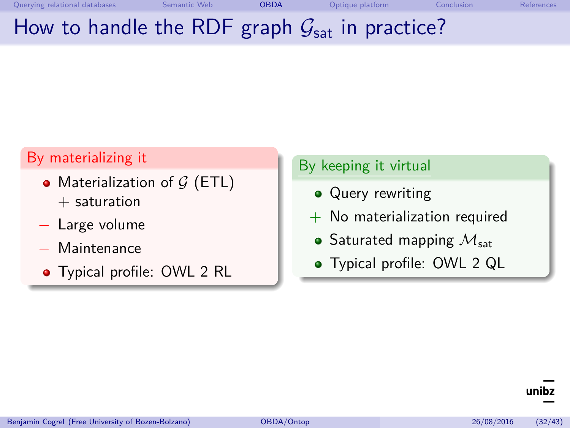# How to handle the RDF graph  $G<sub>sat</sub>$  in practice?

#### By materializing it

- Materialization of  $G$  (ETL)  $+$  saturation
- Large volume
- − Maintenance
- Typical profile: OWL 2 RL

#### By keeping it virtual

- **Query rewriting**
- $+$  No materialization required
	- Saturated mapping  $\mathcal{M}_{sat}$
	- Typical profile: OWL 2 QL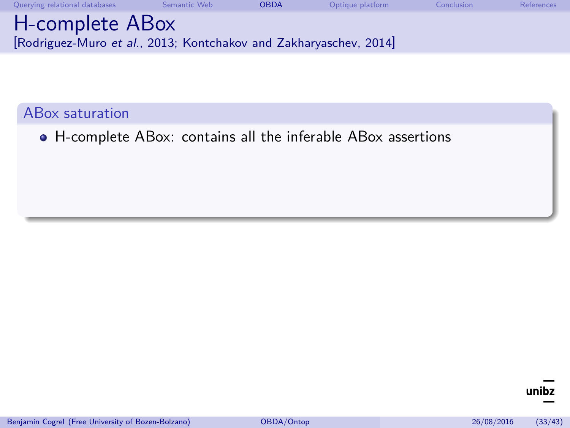| Querying relational databases                                                        | Semantic Web | <b>OBDA</b> | Optique platform | Conclusion | <b>References</b> |
|--------------------------------------------------------------------------------------|--------------|-------------|------------------|------------|-------------------|
| H-complete ABox<br>[Rodriguez-Muro et al., 2013; Kontchakov and Zakharyaschev, 2014] |              |             |                  |            |                   |

H-complete ABox: contains all the inferable ABox assertions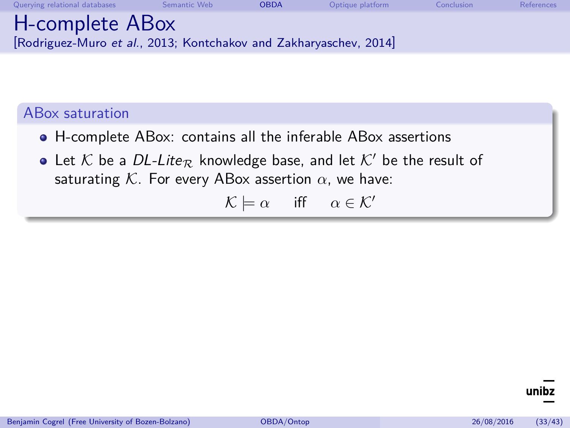| Querying relational databases                                           | Semantic Web | <b>OBDA</b> | Optique platform | Conclusion | References |
|-------------------------------------------------------------------------|--------------|-------------|------------------|------------|------------|
| H-complete ABox                                                         |              |             |                  |            |            |
| $\vert$ Rodriguez-Muro et al., 2013; Kontchakov and Zakharyaschev, 2014 |              |             |                  |            |            |

- H-complete ABox: contains all the inferable ABox assertions
- Let K be a DL-Lite<sub>R</sub> knowledge base, and let K' be the result of saturating  $K$ . For every ABox assertion  $\alpha$ , we have:

 $\mathcal{K} \models \alpha$  iff  $\alpha \in \mathcal{K}'$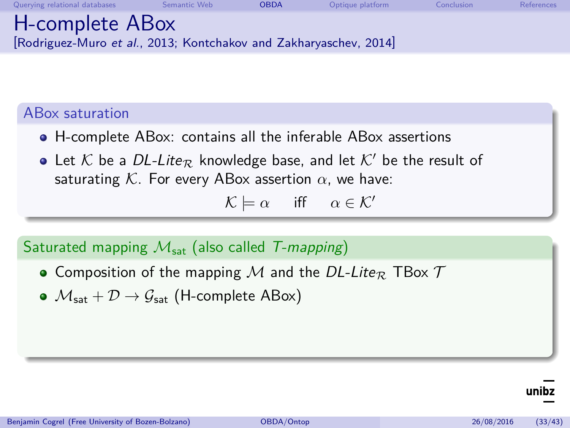| Querying relational databases                                                      | Semantic Web | <b>OBDA</b> | Optique platform | Conclusion | References |
|------------------------------------------------------------------------------------|--------------|-------------|------------------|------------|------------|
| H-complete ABox<br>Rodriguez-Muro et al., 2013; Kontchakov and Zakharyaschev, 2014 |              |             |                  |            |            |

- H-complete ABox: contains all the inferable ABox assertions
- Let K be a DL-Lite<sub>R</sub> knowledge base, and let K' be the result of saturating K. For every ABox assertion  $\alpha$ , we have:

$$
\mathcal{K} \models \alpha \quad \text{ iff } \quad \alpha \in \mathcal{K}'
$$

#### Saturated mapping  $M_{sat}$  (also called T-mapping)

- Composition of the mapping M and the DL-Lite<sub>R</sub> TBox  $T$
- $\bullet$   $\mathcal{M}_{\text{sat}} + \mathcal{D} \rightarrow \mathcal{G}_{\text{sat}}$  (H-complete ABox)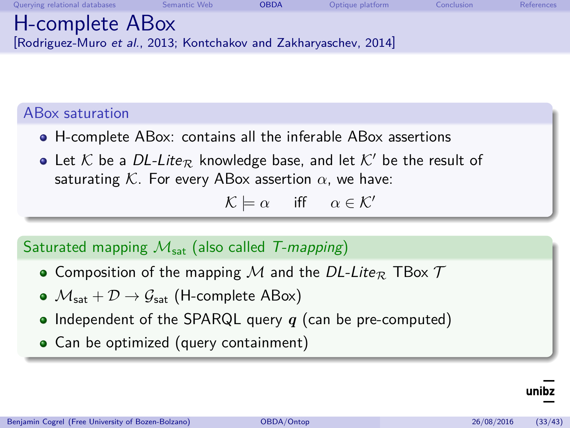| Querying relational databases                                                      | Semantic Web | <b>OBDA</b> | Optique platform | Conclusion | References |
|------------------------------------------------------------------------------------|--------------|-------------|------------------|------------|------------|
| H-complete ABox<br>Rodriguez-Muro et al., 2013; Kontchakov and Zakharyaschev, 2014 |              |             |                  |            |            |

- H-complete ABox: contains all the inferable ABox assertions
- Let K be a DL-Lite<sub>R</sub> knowledge base, and let K' be the result of saturating K. For every ABox assertion  $\alpha$ , we have:

$$
\mathcal{K} \models \alpha \quad \text{ iff } \quad \alpha \in \mathcal{K}'
$$

#### Saturated mapping  $M_{sat}$  (also called T-mapping)

- Composition of the mapping M and the DL-Lite<sub>R</sub> TBox  $T$
- $\bullet$   $\mathcal{M}_{\text{sat}} + \mathcal{D} \rightarrow \mathcal{G}_{\text{sat}}$  (H-complete ABox)
- Independent of the SPARQL query  $q$  (can be pre-computed)
- Can be optimized (query containment)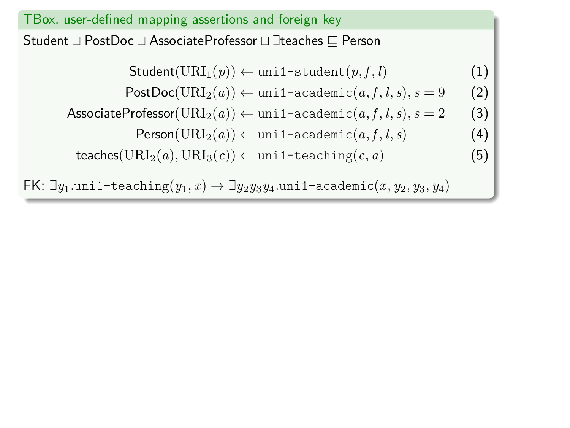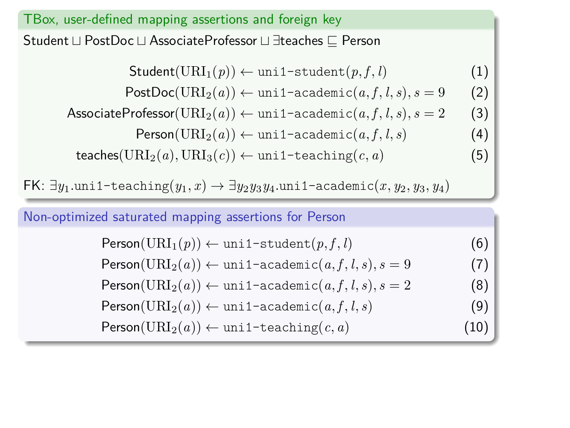TBox, user-defined mapping assertions and foreign key Student ⊔ PostDoc ⊔ AssociateProfessor ⊔ ∃teaches  $\sqsubset$  Person  $Student(URI_1(p)) \leftarrow \text{unit-student}(p, f, l)$  (1)  $PostDoc(URI_2(a)) \leftarrow \text{uni1-academic}(a, f, l, s), s = 9$  (2) AssociateProfessor( $\text{URI}_2(a)$ )  $\leftarrow$  uni1-academic $(a, f, l, s)$ ,  $s = 2$  (3)  $Person(URI_2(a)) \leftarrow \text{uni1-academic}(a, f, l, s)$  (4)  $\text{teaches}(\text{URI}_2(a), \text{URI}_3(c)) \leftarrow \text{unit-teaching}(c, a)$  (5)

FK: ∃*y*1*.*uni1-teaching(*y*1*, x*) → ∃*y*2*y*3*y*4*.*uni1-academic(*x, y*2*, y*3*, y*4)

Non-optimized saturated mapping assertions for Person

 $Person(URI_1(p)) \leftarrow \text{unit1-student}(p, f, l)$  (6)

 $Person(URL_2(a)) \leftarrow \text{uni1-academic}(a, f, l, s), s = 9$  (7)

 $\noindent \text{Person}(\text{URI}_2(a)) \leftarrow \text{uni1-academic}(a, f, l, s), s = 2$  (8)

$$
\mathsf{Person}(\text{URI}_2(a)) \leftarrow \text{uni1-academic}(a, f, l, s) \tag{9}
$$

 $Person(URL_2(a)) \leftarrow \text{unit1-teaching}(c, a)$  (10)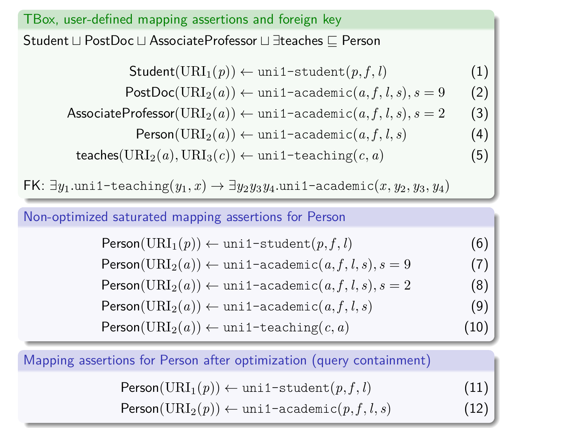TBox, user-defined mapping assertions and foreign key Student ⊔ PostDoc ⊔ AssociateProfessor ⊔ ∃teaches  $\sqsubset$  Person  $Student(URI_1(p)) \leftarrow \text{unit-student}(p, f, l)$  (1)  $PostDoc(URI_2(a)) \leftarrow \text{uni1-academic}(a, f, l, s), s = 9$  (2) AssociateProfessor( $\text{URI}_2(a)$ )  $\leftarrow$  uni1-academic $(a, f, l, s)$ ,  $s = 2$  (3)  $Person(URI_2(a)) \leftarrow \text{uni1-academic}(a, f, l, s)$  (4)  $\text{teaches}(\text{URI}_2(a), \text{URI}_3(c)) \leftarrow \text{unit-teaching}(c, a)$  (5)

FK: ∃*y*1*.*uni1-teaching(*y*1*, x*) → ∃*y*2*y*3*y*4*.*uni1-academic(*x, y*2*, y*3*, y*4)

Non-optimized saturated mapping assertions for Person

 $Person(URI_1(p)) \leftarrow \text{unit1-student}(p, f, l)$  (6)

 $Person(URL_2(a)) \leftarrow \text{uni1-academic}(a, f, l, s), s = 9$  (7)

 $\noindent \text{Person}(\text{URI}_2(a)) \leftarrow \text{uni1-academic}(a, f, l, s), s = 2$  (8)

$$
\mathsf{Person}(\text{URI}_2(a)) \leftarrow \text{uni1-academic}(a, f, l, s) \tag{9}
$$

 $Person(URL_2(a)) \leftarrow \text{unit1-teaching}(c, a)$  (10)

Mapping assertions for Person after optimization (query containment)

| Person(URI <sub>1</sub> $(p)$ ) $\leftarrow$ uni1-student $(p, f, l)$     | (11) |
|---------------------------------------------------------------------------|------|
| Person(URI <sub>2</sub> $(p)$ ) $\leftarrow$ uni1-academic $(p, f, l, s)$ | (12) |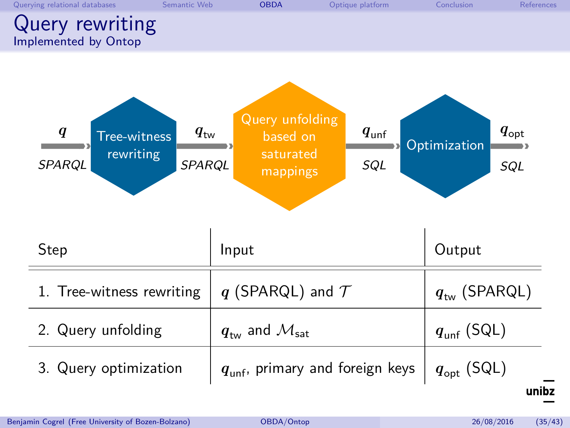<span id="page-56-0"></span>

| Querying relational databases           | Semantic Web | <b>OBDA</b> | Optique platform | Conclusion | References |
|-----------------------------------------|--------------|-------------|------------------|------------|------------|
| Query rewriting<br>Implemented by Ontop |              |             |                  |            |            |

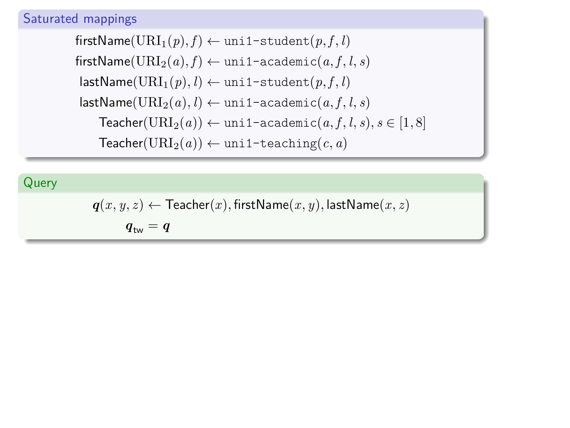#### Saturated mappings

 $firstName(URI<sub>1</sub>(p), f) \leftarrow unit1-student(p, f, l)$  $firstName(URL_2(a), f) \leftarrow unit1 - academic(a, f, l, s)$  $\textsf{lastName}(\text{URI}_1(p), l) \leftarrow \text{unif-student}(p, f, l)$  $lastName(URI_2(a), l) \leftarrow \text{unil-cademic}(a, f, l, s)$  $\text{Teacher}(\text{URI}_2(a)) \leftarrow \text{unit1-academic}(a, f, l, s), s \in [1, 8]$  $Teacher(URL<sub>2</sub>(a)) \leftarrow unit1-teaching(c, a)$ 

#### Query

 $q(x, y, z) \leftarrow$  Teacher $(x)$ *,* firstName $(x, y)$ *,* lastName $(x, z)$ 

 $q_{\text{tw}} = q$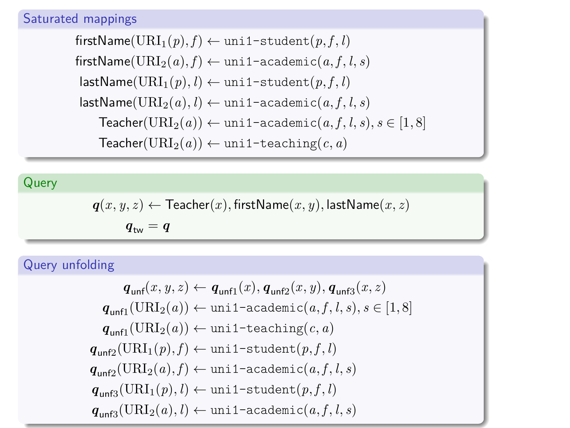#### Saturated mappings

 $firstName(URL_1(p), f) \leftarrow unit1 - student(p, f, l)$  $firstName(URL_2(a), f) \leftarrow unit1 - academic(a, f, l, s)$  $\textsf{lastName}(\text{URI}_1(p), l) \leftarrow \text{unif-student}(p, f, l)$  $lastName(URL_2(a), l) \leftarrow \text{unil-academic}(a, f, l, s)$  $\text{Teacher}(\text{URI}_2(a)) \leftarrow \text{unit1-academic}(a, f, l, s), s \in [1, 8]$  $Teacher(URL<sub>2</sub>(a)) \leftarrow unit1-teaching(c, a)$ 

#### Query

$$
\textit{\textbf{q}}(x,y,z) \leftarrow \text{Teacher}(x), \text{firstName}(x,y), \text{lastName}(x,z)
$$

 $q_{\text{tw}} = q$ 

#### Query unfolding

$$
\begin{aligned} \mathit{q}_{\mathsf{unf}}(x,y,z) &\leftarrow \mathit{q}_{\mathsf{unf1}}(x), \mathit{q}_{\mathsf{unf2}}(x,y), \mathit{q}_{\mathsf{unf3}}(x,z) \\ \mathit{q}_{\mathsf{unf1}}(\mathsf{URL}_2(a)) &\leftarrow \mathsf{uni1}\text{-}\mathsf{academic}\big(a,f,l,s), s \in [1,8] \\ \mathit{q}_{\mathsf{unf1}}(\mathsf{URL}_2(a)) &\leftarrow \mathsf{uni1}\text{-}\mathsf{teaching}\big(c,a) \\ \mathit{q}_{\mathsf{unf2}}(\mathsf{URL}_1(p),f) &\leftarrow \mathsf{uni1}\text{-}\mathsf{student}\big(p,f,l\big) \\ \mathit{q}_{\mathsf{unf2}}(\mathsf{URL}_2(a),f) &\leftarrow \mathsf{uni1}\text{-}\mathsf{academic}\big(a,f,l,s\big) \\ \mathit{q}_{\mathsf{unf3}}(\mathsf{URL}_1(p),l) &\leftarrow \mathsf{uni1}\text{-}\mathsf{student}\big(p,f,l\big) \\ \mathit{q}_{\mathsf{unf3}}(\mathsf{URL}_2(a),l) &\leftarrow \mathsf{uni1}\text{-}\mathsf{academic}\big(a,f,l,s\big) \end{aligned}
$$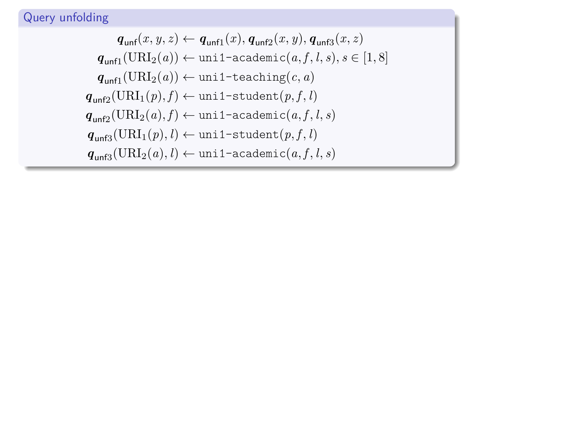#### Query unfolding

$$
\begin{aligned} q_\text{unf}(x,y,z) &\leftarrow q_\text{unf1}(x), q_\text{unf2}(x,y), q_\text{unf3}(x,z) \\ q_\text{unf1}(\text{URL}_2(a)) &\leftarrow \text{uni1-academic}(a,f,l,s), s \in [1,8] \\ q_\text{unf1}(\text{URL}_2(a)) &\leftarrow \text{uni1-teaching}(c,a) \\ q_\text{unf2}(\text{URL}_1(p),f) &\leftarrow \text{uni1-student}(p,f,l) \\ q_\text{unf2}(\text{URL}_2(a),f) &\leftarrow \text{uni1-academic}(a,f,l,s) \\ q_\text{unf3}(\text{URL}_1(p),l) &\leftarrow \text{uni1-student}(p,f,l) \\ q_\text{unf3}(\text{URL}_2(a),l) &\leftarrow \text{uni1-academic}(a,f,l,s) \end{aligned}
$$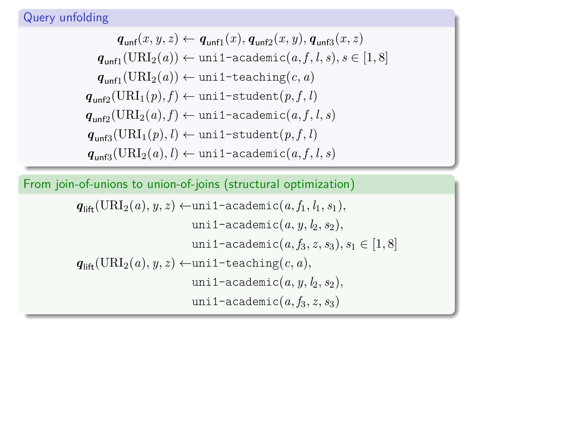#### Query unfolding

$$
\begin{aligned} \mathit{q}_{\mathsf{unf}}(x,y,z) &\leftarrow \mathit{q}_{\mathsf{unf1}}(x), \mathit{q}_{\mathsf{unf2}}(x,y), \mathit{q}_{\mathsf{unf3}}(x,z) \\ \mathit{q}_{\mathsf{unf1}}(\mathit{URL}_2(a)) &\leftarrow \mathsf{uni1-academic}(a,f,l,s), s \in [1,8] \\ \mathit{q}_{\mathsf{unf1}}(\mathit{URL}_2(a)) &\leftarrow \mathsf{uni1-teaching}(c,a) \\ \mathit{q}_{\mathsf{unf2}}(\mathit{URL}_1(p),f) &\leftarrow \mathsf{uni1-student}(p,f,l) \\ \mathit{q}_{\mathsf{unf2}}(\mathit{URL}_2(a),f) &\leftarrow \mathsf{uni1-academic}(a,f,l,s) \\ \mathit{q}_{\mathsf{unf3}}(\mathit{URL}_1(p),l) &\leftarrow \mathsf{uni1-student}(p,f,l) \\ \mathit{q}_{\mathsf{unf3}}(\mathit{URL}_2(a),l) &\leftarrow \mathsf{uni1-academic}(a,f,l,s) \end{aligned}
$$

From join-of-unions to union-of-joins (structural optimization)

$$
q_{\text{lift}}(\text{URL}_2(a), y, z) \leftarrow \text{uni1-academic}(a, f_1, l_1, s_1),
$$
\n
$$
\text{uni1-academic}(a, y, l_2, s_2),
$$
\n
$$
\text{uni1-academic}(a, f_3, z, s_3), s_1 \in [1, 8]
$$
\n
$$
q_{\text{lift}}(\text{URL}_2(a), y, z) \leftarrow \text{uni1-teaching}(c, a),
$$
\n
$$
\text{uni1-academic}(a, y, l_2, s_2),
$$
\n
$$
\text{uni1-academic}(a, f_3, z, s_3)
$$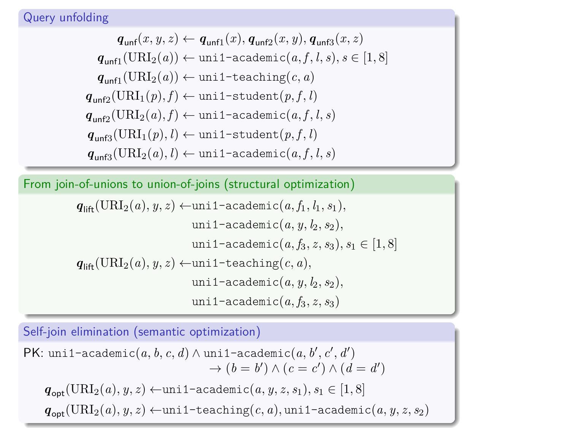$$
\begin{aligned} \mathit{q}_{\text{unfl}}(x,y,z) &\leftarrow \mathit{q}_{\text{unfl}}(x), \mathit{q}_{\text{unfl}}(x,y), \mathit{q}_{\text{unfl}}(x,z) \\ \mathit{q}_{\text{unfl}}(\text{URI}_2(a)) &\leftarrow \text{uni1-academic}(a,f,l,s), s \in [1,8] \\ \mathit{q}_{\text{unfl}}(\text{URI}_2(a)) &\leftarrow \text{uni1-teaching}(c,a) \\ \mathit{q}_{\text{unfl2}}(\text{URI}_1(p),f) &\leftarrow \text{uni1-student}(p,f,l) \\ \mathit{q}_{\text{unfl2}}(\text{URI}_2(a),f) &\leftarrow \text{uni1-academic}(a,f,l,s) \\ \mathit{q}_{\text{unfl3}}(\text{URI}_1(p),l) &\leftarrow \text{uni1-student}(p,f,l) \\ \mathit{q}_{\text{unfl3}}(\text{URI}_2(a),l) &\leftarrow \text{uni1-academic}(a,f,l,s) \end{aligned}
$$

From join-of-unions to union-of-joins (structural optimization)

$$
q_{\text{lift}}(\text{URL}_2(a), y, z) \leftarrow \text{uni1-academic}(a, f_1, l_1, s_1),
$$
  
\n
$$
\text{uni1-academic}(a, y, l_2, s_2),
$$
  
\n
$$
\text{uni1-academic}(a, f_3, z, s_3), s_1 \in [1, 8]
$$
  
\n
$$
q_{\text{lift}}(\text{URL}_2(a), y, z) \leftarrow \text{uni1-teaching}(c, a),
$$
  
\n
$$
\text{uni1-academic}(a, y, l_2, s_2),
$$
  
\n
$$
\text{uni1-academic}(a, f_3, z, s_3)
$$

Self-join elimination (semantic optimization)

PK:  $unif-academic(a, b, c, d) \wedge unif-academic(a, b', c', d')$  $\rightarrow$   $(b = b') \land (c = c') \land (d = d')$  $q_{\text{opt}}(\text{URI}_2(a), y, z)$  ←uni1-academic $(a, y, z, s_1), s_1 \in [1, 8]$  $q_{\text{opt}}(\text{URI}_2(a), y, z) \leftarrow \text{unit1-teaching}(c, a), \text{unit1-academic}(a, y, z, s_2)$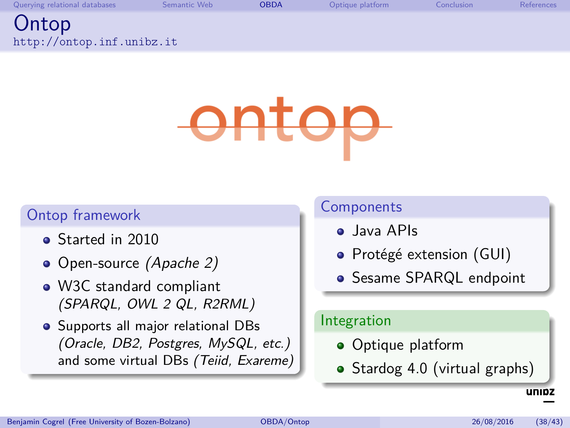<span id="page-62-0"></span>

| Querying relational databases      | Semantic Web | <b>OBDA</b> | Optique platform | Conclusion | References |
|------------------------------------|--------------|-------------|------------------|------------|------------|
| Ontop<br>http://ontop.inf.unibz.it |              |             |                  |            |            |
|                                    |              |             |                  |            |            |

# anto

#### Ontop framework

- Started in 2010
- Open-source *(Apache 2)*
- W3C standard compliant (SPARQL, OWL 2 QL, R2RML)
- **•** Supports all major relational DBs (Oracle, DB2, Postgres, MySQL, etc.) and some virtual DBs (Teiid, Exareme)

#### **Components**

- **o** Java APIs
- · Protégé extension (GUI)
- **Sesame SPARQL endpoint**

#### Integration

- **•** Optique platform
- Stardog 4.0 (virtual graphs)

unipz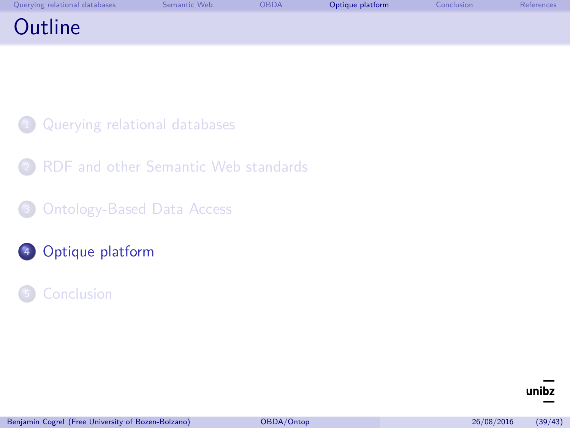<span id="page-63-0"></span>

| Querying relational databases | Semantic Web | <b>OBDA</b> | Optique platform | Conclusion | References |
|-------------------------------|--------------|-------------|------------------|------------|------------|
| Outline                       |              |             |                  |            |            |

- [Querying relational databases](#page-2-0)
- [RDF and other Semantic Web standards](#page-23-0)
- 8 [Ontology-Based Data Access](#page-43-0)
- <sup>4</sup> [Optique platform](#page-63-0)
- **[Conclusion](#page-66-0)**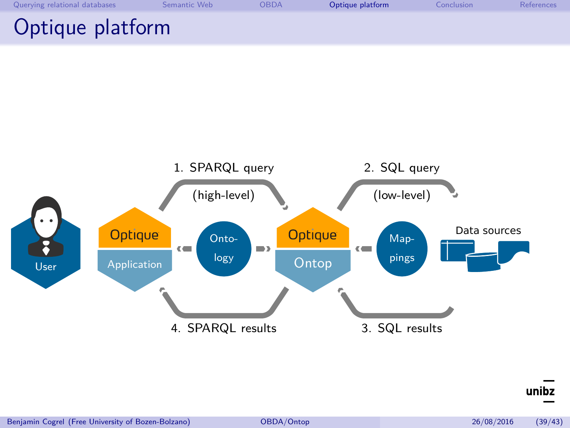| Querying relational databases | Semantic Web | <b>OBDA</b> | Optique platform | Conclusion | References |
|-------------------------------|--------------|-------------|------------------|------------|------------|
| Optique platform              |              |             |                  |            |            |



unibz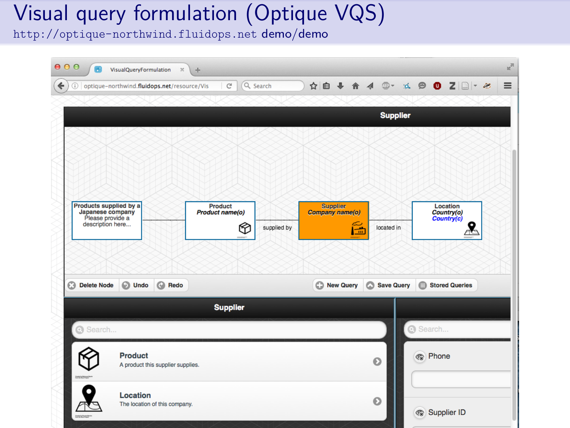## Visual query formulation (Optique VQS)

<http://optique-northwind.fluidops.net> demo/demo

|                                                                                    | (i) optique-northwind.fluidops.net/resource/Vis | $\mathbb{C}^l$             |   | Q Search    |                                    |   |           |                   |                | ☆ 自 → 合 4 ◎ ☆ ※ ◎ ◎ Z □ - ※ |  |
|------------------------------------------------------------------------------------|-------------------------------------------------|----------------------------|---|-------------|------------------------------------|---|-----------|-------------------|----------------|-----------------------------|--|
|                                                                                    |                                                 |                            |   |             |                                    |   |           | <b>Supplier</b>   |                |                             |  |
|                                                                                    |                                                 |                            |   |             |                                    |   |           |                   |                |                             |  |
|                                                                                    |                                                 |                            |   |             |                                    |   |           |                   |                |                             |  |
|                                                                                    |                                                 |                            |   |             |                                    |   |           |                   |                |                             |  |
|                                                                                    |                                                 |                            |   |             |                                    |   |           |                   |                |                             |  |
| Products supplied by a<br>Japanese company<br>Please provide a<br>description here |                                                 | Product<br>Product name(o) |   |             | <b>Supplier</b><br>Company name(o) |   |           |                   |                | Location<br>Country(o)      |  |
|                                                                                    |                                                 |                            |   |             |                                    |   |           |                   |                |                             |  |
|                                                                                    |                                                 |                            | 鸳 | supplied by |                                    | 語 |           | located in        |                |                             |  |
|                                                                                    |                                                 |                            |   |             |                                    |   |           |                   |                |                             |  |
|                                                                                    |                                                 |                            |   |             |                                    |   |           |                   |                |                             |  |
| <b>Delete Node</b>                                                                 | $\odot$<br><b>C</b> Redo<br>Undo                |                            |   |             | New Query                          |   | $\circ$   | <b>Save Query</b> |                | Stored Queries              |  |
|                                                                                    |                                                 | <b>Supplier</b>            |   |             |                                    |   |           |                   |                |                             |  |
| Search                                                                             |                                                 |                            |   |             |                                    |   |           |                   | Search         |                             |  |
|                                                                                    | <b>Product</b>                                  |                            |   |             |                                    |   |           |                   |                |                             |  |
| <b>Installation</b>                                                                | A product this supplier supplies.               |                            |   |             |                                    |   | $\bullet$ |                   | <b>R</b> Phone |                             |  |
| $\odot$                                                                            | Location                                        |                            |   |             |                                    |   | $\bullet$ |                   |                |                             |  |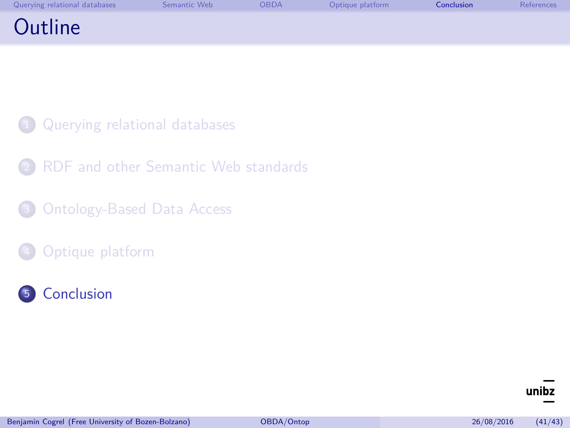<span id="page-66-0"></span>

| Querying relational databases | Semantic Web | <b>OBDA</b> | Optique platform | Conclusion | References |
|-------------------------------|--------------|-------------|------------------|------------|------------|
| Outline                       |              |             |                  |            |            |

- [Querying relational databases](#page-2-0)
- [RDF and other Semantic Web standards](#page-23-0)
- <sup>3</sup> [Ontology-Based Data Access](#page-43-0)
- [Optique platform](#page-63-0)
- <sup>5</sup> [Conclusion](#page-66-0)

#### unibz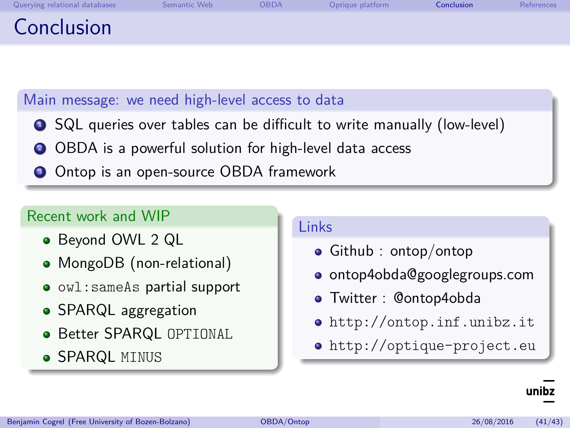| Querying relational databases | Semantic Web | OBDA | Optique platform | Conclusion | References |
|-------------------------------|--------------|------|------------------|------------|------------|
| Conclusion                    |              |      |                  |            |            |

#### Main message: we need high-level access to data

- **1** SQL queries over tables can be difficult to write manually (low-level)
- <sup>2</sup> OBDA is a powerful solution for high-level data access
- <sup>3</sup> Ontop is an open-source OBDA framework

#### Recent work and WIP

- **Beyond OWL 2 QL**
- MongoDB (non-relational)
- owl:sameAs partial support
- SPARQL aggregation
- **Better SPARQL OPTIONAL**
- **SPARQL MINUS**

#### Links

- Github : ontop/ontop
- ontop4obda@googlegroups.com
- Twitter : @ontop4obda
- <http://ontop.inf.unibz.it>
- <http://optique-project.eu>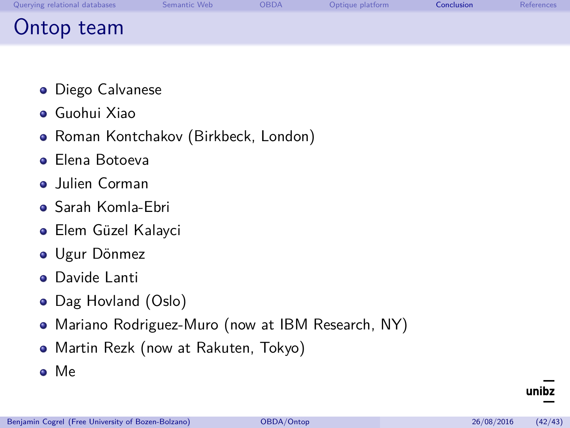| Querying relational databases | Semantic Web | OBDA | Optique platform | Conclusion | References |
|-------------------------------|--------------|------|------------------|------------|------------|
| Ontop team                    |              |      |                  |            |            |

- **•** Diego Calvanese
- Guohui Xiao
- Roman Kontchakov (Birkbeck, London)
- **•** Flena Botoeva
- **•** Julien Corman
- Sarah Komla-Ebri
- Elem Güzel Kalayci
- Ugur Dönmez
- Davide Lanti  $\bullet$
- Dag Hovland (Oslo)
- Mariano Rodriguez-Muro (now at IBM Research, NY)
- Martin Rezk (now at Rakuten, Tokyo)
- Me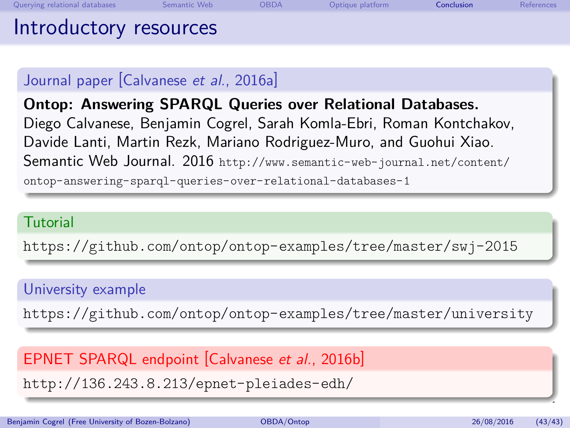#### Journal paper [\[Calvanese](#page-70-1) et al., 2016a]

**Ontop: Answering SPARQL Queries over Relational Databases.** Diego Calvanese, Benjamin Cogrel, Sarah Komla-Ebri, Roman Kontchakov, Davide Lanti, Martin Rezk, Mariano Rodriguez-Muro, and Guohui Xiao. Semantic Web Journal. 2016 [http://www.semantic-web-journal.net/content/](http://www.semantic-web-journal.net/content/ontop-answering-sparql-queries-over-relational-databases-1) [ontop-answering-sparql-queries-over-relational-databases-1](http://www.semantic-web-journal.net/content/ontop-answering-sparql-queries-over-relational-databases-1)

#### **Tutorial**

<https://github.com/ontop/ontop-examples/tree/master/swj-2015>

#### University example

<https://github.com/ontop/ontop-examples/tree/master/university>

EPNET SPARQL endpoint Calvanese et al., 2016b

<http://136.243.8.213/epnet-pleiades-edh/>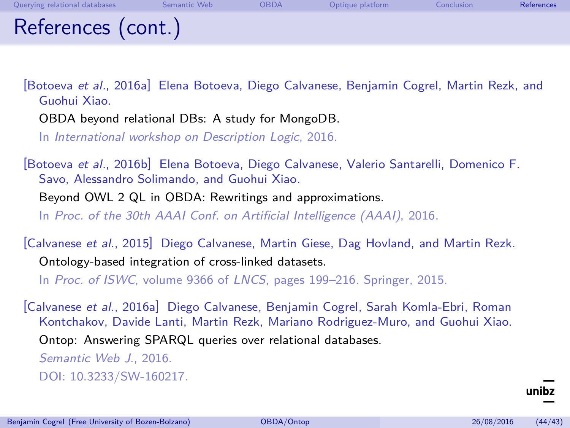<span id="page-70-0"></span>

| Querying relational databases | Semantic Web | <b>OBDA</b> | Optique platform | Conclusion | References |
|-------------------------------|--------------|-------------|------------------|------------|------------|
| References (cont.)            |              |             |                  |            |            |

[Botoeva et al., 2016a] Elena Botoeva, Diego Calvanese, Benjamin Cogrel, Martin Rezk, and Guohui Xiao.

OBDA beyond relational DBs: A study for MongoDB.

In International workshop on Description Logic, 2016.

[Botoeva et al., 2016b] Elena Botoeva, Diego Calvanese, Valerio Santarelli, Domenico F. Savo, Alessandro Solimando, and Guohui Xiao.

Beyond OWL 2 QL in OBDA: Rewritings and approximations. In Proc. of the 30th AAAI Conf. on Artificial Intelligence (AAAI), 2016.

[Calvanese et al., 2015] Diego Calvanese, Martin Giese, Dag Hovland, and Martin Rezk. Ontology-based integration of cross-linked datasets.

In Proc. of ISWC, volume 9366 of LNCS, pages 199–216. Springer, 2015.

<span id="page-70-1"></span>[Calvanese et al., 2016a] Diego Calvanese, Benjamin Cogrel, Sarah Komla-Ebri, Roman Kontchakov, Davide Lanti, Martin Rezk, Mariano Rodriguez-Muro, and Guohui Xiao. Ontop: Answering SPARQL queries over relational databases. Semantic Web J., 2016. DOI: [10.3233/SW-160217.](https://dx.doi.org/10.3233/SW-160217)